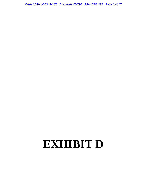Case 4:07-cv-05944-JST Document 6005-5 Filed 03/31/22 Page 1 of 47

## **EXHIBIT D**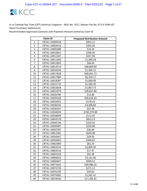

|                | <b>Claim ID</b> | <b>Proposed Distribution Amount</b> |
|----------------|-----------------|-------------------------------------|
| 1              | CRTA1-10000518  | \$941.21                            |
| $\overline{2}$ | CRTA1-10004416  | \$303.26                            |
| 3              | CRTA1-10005480  | \$16.19                             |
| 4              | CRTA1-10010831  | \$206.05                            |
| 5              | CRTA1-10011307  | \$457.99                            |
| 6              | CRTA1-10011960  | \$1,389.28                          |
| 7              | CRTA1-10012893  | \$68.60                             |
| 8              | CRTA1-10014519  | \$38,800.89                         |
| 9              | CRTA1-10016546  | \$1,466.12                          |
| 10             | CRTA1-10017828  | \$40,001.72                         |
| 11             | CRTA1-10017984  | \$6,359.17                          |
| 12             | CRTA1-10018387  | \$1,090.09                          |
| 13             | CRTA1-10021710  | \$1,585.20                          |
| 14             | CRTA1-10023658  | \$1,867.72                          |
| 15             | CRTA1-10025979  | \$28,837.86                         |
| 16             | CRTA1-10026789  | \$14.86                             |
| 17             | CRTA1-10030328  | \$49,634.43                         |
| 18             | CRTA1-10034455  | \$178.33                            |
| 19             | CRTA1-10036326  | \$4,408.84                          |
| 20             | CRTA1-10036547  | \$67.48                             |
| 21             | CRTA1-10038493  | \$783,379.89                        |
| 22             | CRTA1-10038949  | \$112.45                            |
| 23             | CRTA1-10043578  | \$832.23                            |
| 24             | CRTA1-10046194  | \$103.03                            |
| 25             | CRTA1-10049487  | \$250.80                            |
| 26             | CRTA1-10050787  | \$36.49                             |
| 27             | CRTA1-10051902  | \$643.98                            |
| 28             | CRTA1-10056467  | \$39.95                             |
| 29             | CRTA1-10056483  | \$446.07                            |
| 30             | CRTA1-10062890  | \$81.24                             |
| 31             | CRTA1-10063145  | \$2,009.50                          |
| 32             | CRTA1-10064516  | \$17.47                             |
| 33             | CRTA1-10065318  | \$65.38                             |
| 34             | CRTA1-10066632  | \$3,161.66                          |
| 35             | CRTA1-10066667  | \$606.52                            |
| 36             | CRTA1-10073582  | \$49,980.20                         |
| 37             | CRTA1-10075739  | \$271.11                            |
| 38             | CRTA1-10076700  | \$39.63                             |
| 39             | CRTA1-10076905  | \$1,562.41                          |
| 40             | CRTA1-10076956  | \$17,385.81                         |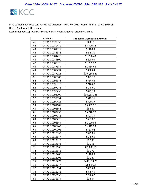

|    | <b>Claim ID</b> | <b>Proposed Distribution Amount</b> |
|----|-----------------|-------------------------------------|
| 41 | CRTA1-10077359  | \$63.16                             |
| 42 | CRTA1-10080430  | \$3,320.72                          |
| 43 | CRTA1-10081917  | \$118.89                            |
| 44 | CRTA1-10083383  | \$245.70                            |
| 45 | CRTA1-10084215  | \$1,238.43                          |
| 46 | CRTA1-10084800  | \$208.05                            |
| 47 | CRTA1-10087320  | \$1,295.32                          |
| 48 | CRTA1-10087354  | \$1,884.66                          |
| 49 | CRTA1-10087494  | \$330.64                            |
| 50 | CRTA1-10087923  | \$104,548.22                        |
| 51 | CRTA1-10088083  | \$821.77                            |
| 52 | CRTA1-10095381  | \$334.48                            |
| 53 | CRTA1-10096310  | \$716.68                            |
| 54 | CRTA1-10097988  | \$148.61                            |
| 55 | CRTA1-10098259  | \$421.79                            |
| 56 | CRTA1-10098909  | \$389,371.85                        |
| 57 | CRTA1-10099034  | \$512.76                            |
| 58 | CRTA1-10099425  | \$320.77                            |
| 59 | CRTA1-10101187  | \$6,365.57                          |
| 60 | CRTA1-10101861  | \$94.87                             |
| 61 | CRTA1-10103732  | \$5,240.38                          |
| 62 | CRTA1-10107746  | \$527.79                            |
| 63 | CRTA1-10108220  | \$637.87                            |
| 64 | CRTA1-10108564  | \$1,100.88                          |
| 65 | CRTA1-10108742  | \$1,312.53                          |
| 66 | CRTA1-10109005  | \$587.02                            |
| 67 | CRTA1-10110852  | \$625.85                            |
| 68 | CRTA1-10112677  | \$149.60                            |
| 69 | CRTA1-10113312  | \$22.35                             |
| 70 | CRTA1-10114386  | \$11.55                             |
| 71 | CRTA1-10115668  | \$31,899.05                         |
| 72 | CRTA1-10115676  | \$31.70                             |
| 73 | CRTA1-10119485  | \$118.89                            |
| 74 | CRTA1-10121005  | \$11.87                             |
| 75 | CRTA1-10125272  | \$405,814.20                        |
| 76 | CRTA1-10126147  | \$25,564.78                         |
| 77 | CRTA1-10126651  | \$452.69                            |
| 78 | CRTA1-10126988  | \$345.45                            |
| 79 | CRTA1-10130659  | \$200.62                            |
| 80 | CRTA1-10135634  | \$38.04                             |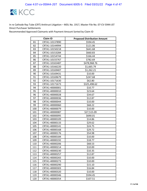

| <b>Claim ID</b> |                | <b>Proposed Distribution Amount</b> |
|-----------------|----------------|-------------------------------------|
| 81              | CRTA1-10137890 | \$594.45                            |
| 82              | CRTA1-10144994 | \$121.06                            |
| 83              | CRTA1-10150218 | \$641.68                            |
| 84              | CRTA1-10153284 | \$660.83                            |
| 85              | CRTA1-10154744 | \$166.44                            |
| 86              | CRTA1-10155767 | \$782.69                            |
| 87              | CRTA1-10165487 | \$478,968.76                        |
| 88              | CRTA1-10166220 | \$1,665.79                          |
| 89              | CRTA1-10169407 | \$1,262.21                          |
| 90              | CRTA1-10169431 | \$10.00                             |
| 91              | CRTA1-10169679 | \$247.68                            |
| 92              | CRTA1-10171630 | \$62.80                             |
| 93              | CRTA1-10171673 | \$325,498.62                        |
| 94              | CRTA1-40000001 | \$10.77                             |
| 95              | CRTA1-40000010 | \$23.64                             |
| 96              | CRTA1-40000028 | \$34.67                             |
| 97              | CRTA1-40000036 | \$12.87                             |
| 98              | CRTA1-40000044 | \$10.00                             |
| 99              | CRTA1-40000060 | \$68.22                             |
| 100             | CRTA1-40000079 | \$10.00                             |
| 101             | CRTA1-40000087 | \$27,515.09                         |
| 102             | CRTA1-40000095 | \$690.01                            |
| 103             | CRTA1-40000109 | \$14.86                             |
| 104             | CRTA1-40000133 | \$29.62                             |
| 105             | CRTA1-40000141 | \$24.75                             |
| 106             | CRTA1-40000168 | \$29.72                             |
| 107             | CRTA1-40000176 | \$54.98                             |
| 108             | CRTA1-40000184 | \$10.00                             |
| 109             | CRTA1-40000192 | \$18.77                             |
| 110             | CRTA1-40000206 | \$68.53                             |
| 111             | CRTA1-40000214 | \$10.00                             |
| 112             | CRTA1-40000230 | \$10.35                             |
| 113             | CRTA1-40000257 | \$12.87                             |
| 114             | CRTA1-40000265 | \$10.00                             |
| 115             | CRTA1-40000273 | \$10.00                             |
| 116             | CRTA1-40000290 | \$15.10                             |
| 117             | CRTA1-40000303 | \$16.84                             |
| 118             | CRTA1-40000320 | \$10.00                             |
| 119             | CRTA1-40000346 | \$594.45                            |
| 120             | CRTA1-40000354 | \$107.51                            |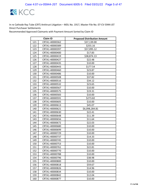

| <b>Claim ID</b> |                | <b>Proposed Distribution Amount</b> |
|-----------------|----------------|-------------------------------------|
| 121             | CRTA1-40000362 | \$37,139.00                         |
| 122             | CRTA1-40000389 | \$255.16                            |
| 123             | CRTA1-40000397 | \$57,095.12                         |
| 124             | CRTA1-40000400 | \$17.83                             |
| 125             | CRTA1-40000419 | \$38,874.13                         |
| 126             | CRTA1-40000427 | \$22.48                             |
| 127             | CRTA1-40000435 | \$10.00                             |
| 128             | CRTA1-40000443 | \$177.54                            |
| 129             | CRTA1-40000460 | \$23.87                             |
| 130             | CRTA1-40000486 | \$10.00                             |
| 131             | CRTA1-40000508 | \$37.82                             |
| 132             | CRTA1-40000516 | \$34.12                             |
| 133             | CRTA1-40000532 | \$23.65                             |
| 134             | CRTA1-40000567 | \$10.00                             |
| 135             | CRTA1-40000575 | \$19.31                             |
| 136             | CRTA1-40000583 | \$10.00                             |
| 137             | CRTA1-40000591 | \$273.82                            |
| 138             | CRTA1-40000605 | \$10.00                             |
| 139             | CRTA1-40000613 | \$45.07                             |
| 140             | CRTA1-40000621 | \$6,098,284.81                      |
| 141             | CRTA1-40000630 | \$22.41                             |
| 142             | CRTA1-40000648 | \$11.39                             |
| 143             | CRTA1-40000656 | \$11.64                             |
| 144             | CRTA1-40000672 | \$22.03                             |
| 145             | CRTA1-40000680 | \$10.00                             |
| 146             | CRTA1-40000699 | \$10.00                             |
| 147             | CRTA1-40000729 | \$10.00                             |
| 148             | CRTA1-40000737 | \$14.33                             |
| 149             | CRTA1-40000745 | \$10.00                             |
| 150             | CRTA1-40000753 | \$10.00                             |
| 151             | CRTA1-40000761 | \$22.81                             |
| 152             | CRTA1-40000770 | \$10.00                             |
| 153             | CRTA1-40000788 | \$10.00                             |
| 154             | CRTA1-40000796 | \$38.98                             |
| 155             | CRTA1-40000800 | \$10.00                             |
| 156             | CRTA1-40000818 | \$59.67                             |
| 157             | CRTA1-40000826 | \$14.96                             |
| 158             | CRTA1-40000834 | \$10.00                             |
| 159             | CRTA1-40000842 | \$12.04                             |
| 160             | CRTA1-40000877 | \$10.00                             |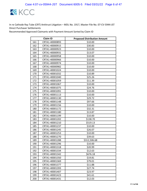

|     | <b>Claim ID</b> | <b>Proposed Distribution Amount</b> |
|-----|-----------------|-------------------------------------|
| 161 | CRTA1-40000893  | \$10.00                             |
| 162 | CRTA1-40000915  | \$30.83                             |
| 163 | CRTA1-40000923  | \$10.00                             |
| 164 | CRTA1-40000931  | \$13.07                             |
| 165 | CRTA1-40000958  | \$10.00                             |
| 166 | CRTA1-40000966  | \$10.00                             |
| 167 | CRTA1-40000974  | \$10.00                             |
| 168 | CRTA1-40000982  | \$10.00                             |
| 169 | CRTA1-40001024  | \$10.00                             |
| 170 | CRTA1-40001032  | \$10.89                             |
| 171 | CRTA1-40001040  | \$25.26                             |
| 172 | CRTA1-40001059  | \$11.39                             |
| 173 | CRTA1-40001067  | \$10.00                             |
| 174 | CRTA1-40001075  | \$24.76                             |
| 175 | CRTA1-40001091  | \$10.00                             |
| 176 | CRTA1-40001113  | \$10.00                             |
| 177 | CRTA1-40001130  | \$29.72                             |
| 178 | CRTA1-40001148  | \$97.66                             |
| 179 | CRTA1-40001156  | \$10.00                             |
| 180 | CRTA1-40001172  | \$32.31                             |
| 181 | CRTA1-40001180  | \$13.87                             |
| 182 | CRTA1-40001199  | \$10.00                             |
| 183 | CRTA1-40001202  | \$138.70                            |
| 184 | CRTA1-40001210  | \$519.13                            |
| 185 | CRTA1-40001237  | \$10.00                             |
| 186 | CRTA1-40001245  | \$26.07                             |
| 187 | CRTA1-40001253  | \$10.00                             |
| 188 | CRTA1-40001270  | \$39.63                             |
| 189 | CRTA1-40001288  | \$312,506.68                        |
| 190 | CRTA1-40001296  | \$10.00                             |
| 191 | CRTA1-40001318  | \$20.99                             |
| 192 | CRTA1-40001334  | \$12.63                             |
| 193 | CRTA1-40001342  | \$676.18                            |
| 194 | CRTA1-40001350  | \$19.81                             |
| 195 | CRTA1-40001369  | \$79.01                             |
| 196 | CRTA1-40001377  | \$11.88                             |
| 197 | CRTA1-40001393  | \$27.74                             |
| 198 | CRTA1-40001407  | \$23.97                             |
| 199 | CRTA1-40001423  | \$41.61                             |
| 200 | CRTA1-40001431  | \$12.03                             |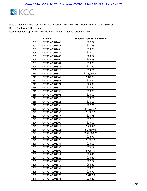

| <b>Claim ID</b> |                | <b>Proposed Distribution Amount</b> |
|-----------------|----------------|-------------------------------------|
| 201             | CRTA1-40001440 | \$22.87                             |
| 202             | CRTA1-40001458 | \$11.88                             |
| 203             | CRTA1-40001466 | \$10.00                             |
| 204             | CRTA1-40001474 | \$10.00                             |
| 205             | CRTA1-40001482 | \$80.74                             |
| 206             | CRTA1-40001490 | \$32.35                             |
| 207             | CRTA1-40001504 | \$10.00                             |
| 208             | CRTA1-40001512 | \$21.79                             |
| 209             | CRTA1-40001520 | \$13.71                             |
| 210             | CRTA1-40001539 | \$233,095.34                        |
| 211             | CRTA1-40001547 | \$872.56                            |
| 212             | CRTA1-40001563 | \$10.32                             |
| 213             | CRTA1-40001571 | \$64.99                             |
| 214             | CRTA1-40001580 | \$20.69                             |
| 215             | CRTA1-40001598 | \$10.00                             |
| 216             | CRTA1-40001601 | \$10.00                             |
| 217             | CRTA1-40001610 | \$30.71                             |
| 218             | CRTA1-40001628 | \$18.19                             |
| 219             | CRTA1-40001636 | \$22.21                             |
| 220             | CRTA1-40001644 | \$5,197.87                          |
| 221             | CRTA1-40001652 | \$136.72                            |
| 222             | CRTA1-40001687 | \$15.75                             |
| 223             | CRTA1-40001695 | \$12.63                             |
| 224             | CRTA1-40001709 | \$10.00                             |
| 225             | CRTA1-40001717 | \$506.80                            |
| 226             | CRTA1-40001725 | \$1,680.03                          |
| 227             | CRTA1-40001733 | \$562,683.26                        |
| 228             | CRTA1-40001750 | \$18.77                             |
| 229             | CRTA1-40001776 | \$152.12                            |
| 230             | CRTA1-40001784 | \$10.00                             |
| 231             | CRTA1-40001792 | \$16.67                             |
| 232             | CRTA1-40001806 | \$926.49                            |
| 233             | CRTA1-40001814 | \$24.46                             |
| 234             | CRTA1-40001822 | \$30.35                             |
| 235             | CRTA1-40001830 | \$27.74                             |
| 236             | CRTA1-40001849 | \$64.30                             |
| 237             | CRTA1-40001857 | \$10.00                             |
| 238             | CRTA1-40001865 | \$33.73                             |
| 239             | CRTA1-40001873 | \$510.23                            |
| 240             | CRTA1-40001881 | \$10.40                             |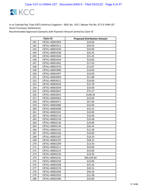

| <b>Claim ID</b> |                | <b>Proposed Distribution Amount</b> |
|-----------------|----------------|-------------------------------------|
| 241             | CRTA1-40001903 | \$10.00                             |
| 242             | CRTA1-40001911 | \$59.59                             |
| 243             | CRTA1-40001920 | \$10.00                             |
| 244             | CRTA1-40001938 | \$26.35                             |
| 245             | CRTA1-40001946 | \$31.45                             |
| 246             | CRTA1-40001954 | \$10.00                             |
| 247             | CRTA1-40001962 | \$17.63                             |
| 248             | CRTA1-40001970 | \$13.87                             |
| 249             | CRTA1-40001989 | \$10.00                             |
| 250             | CRTA1-40001997 | \$10.00                             |
| 251             | CRTA1-40002004 | \$11.88                             |
| 252             | CRTA1-40002012 | \$10.00                             |
| 253             | CRTA1-40002020 | \$12.78                             |
| 254             | CRTA1-40002039 | \$10.00                             |
| 255             | CRTA1-40002047 | \$75.27                             |
| 256             | CRTA1-40002055 | \$148.56                            |
| 257             | CRTA1-40002063 | \$10.00                             |
| 258             | CRTA1-40002071 | \$47.06                             |
| 259             | CRTA1-40002080 | \$10.00                             |
| 260             | CRTA1-40002098 | \$16.22                             |
| 261             | CRTA1-40002101 | \$10.00                             |
| 262             | CRTA1-40002110 | \$10.00                             |
| 263             | CRTA1-40002128 | \$10.48                             |
| 264             | CRTA1-40002136 | \$10.89                             |
| 265             | CRTA1-40002144 | \$26.24                             |
| 266             | CRTA1-40002152 | \$12.38                             |
| 267             | CRTA1-40002160 | \$10.00                             |
| 268             | CRTA1-40002187 | \$18.20                             |
| 269             | CRTA1-40002195 | \$28.23                             |
| 270             | CRTA1-40002209 | \$13.54                             |
| 271             | CRTA1-40002217 | \$10.00                             |
| 272             | CRTA1-40002225 | \$10.00                             |
| 273             | CRTA1-40002233 | \$10.39                             |
| 274             | CRTA1-40002241 | \$94,029.04                         |
| 275             | CRTA1-40002250 | \$10.00                             |
| 276             | CRTA1-40002268 | \$25.26                             |
| 277             | CRTA1-40002276 | \$20.31                             |
| 278             | CRTA1-40002284 | \$44.29                             |
| 279             | CRTA1-40002292 | \$12.38                             |
| 280             | CRTA1-40002306 | \$10.00                             |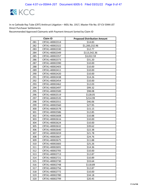

|     | <b>Claim ID</b> | <b>Proposed Distribution Amount</b> |
|-----|-----------------|-------------------------------------|
| 281 | CRTA1-40002314  | \$14.83                             |
| 282 | CRTA1-40002322  | \$1,200,232.96                      |
| 283 | CRTA1-40002330  | \$12.77                             |
| 284 | CRTA1-40002349  | \$113,542.36                        |
| 285 | CRTA1-40002357  | \$3,022.59                          |
| 286 | CRTA1-40002373  | \$31.20                             |
| 287 | CRTA1-40002390  | \$10.00                             |
| 288 | CRTA1-40002403  | \$10.00                             |
| 289 | CRTA1-40002411  | \$10.00                             |
| 290 | CRTA1-40002420  | \$10.00                             |
| 291 | CRTA1-40002438  | \$14.26                             |
| 292 | CRTA1-40002454  | \$10.00                             |
| 293 | CRTA1-40002462  | \$12.03                             |
| 294 | CRTA1-40002497  | \$99.32                             |
| 295 | CRTA1-40002500  | \$98.08                             |
| 296 | CRTA1-40002519  | \$128.05                            |
| 297 | CRTA1-40002535  | \$214.99                            |
| 298 | CRTA1-40002551  | \$46.06                             |
| 299 | CRTA1-40002560  | \$27.95                             |
| 300 | CRTA1-40002578  | \$15.15                             |
| 301 | CRTA1-40002586  | \$12.85                             |
| 302 | CRTA1-40002608  | \$10.88                             |
| 303 | CRTA1-40002616  | \$10.00                             |
| 304 | CRTA1-40002624  | \$10.00                             |
| 305 | CRTA1-40002632  | \$39.62                             |
| 306 | CRTA1-40002640  | \$22.38                             |
| 307 | CRTA1-40002659  | \$21.78                             |
| 308 | CRTA1-40002667  | \$24.76                             |
| 309 | CRTA1-40002675  | \$11.88                             |
| 310 | CRTA1-40002683  | \$25.26                             |
| 311 | CRTA1-40002691  | \$14.36                             |
| 312 | CRTA1-40002705  | \$10.00                             |
| 313 | CRTA1-40002713  | \$12.87                             |
| 314 | CRTA1-40002721  | \$10.89                             |
| 315 | CRTA1-40002730  | \$33.64                             |
| 316 | CRTA1-40002748  | \$118.89                            |
| 317 | CRTA1-40002756  | \$12.87                             |
| 318 | CRTA1-40002772  | \$10.00                             |
| 319 | CRTA1-40002780  | \$34.18                             |
| 320 | CRTA1-40002799  | \$20.45                             |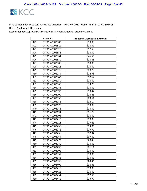

| <b>Claim ID</b> |                | <b>Proposed Distribution Amount</b> |
|-----------------|----------------|-------------------------------------|
| 321             | CRTA1-40002802 | \$10.00                             |
| 322             | CRTA1-40002810 | \$20.30                             |
| 323             | CRTA1-40002829 | \$17.58                             |
| 324             | CRTA1-40002853 | \$10.00                             |
| 325             | CRTA1-40002861 | \$46.56                             |
| 326             | CRTA1-40002870 | \$15.85                             |
| 327             | CRTA1-40002900 | \$10.00                             |
| 328             | CRTA1-40002918 | \$10.00                             |
| 329             | CRTA1-40002926 | \$28.73                             |
| 330             | CRTA1-40002934 | \$24.76                             |
| 331             | CRTA1-40002942 | \$12.62                             |
| 332             | CRTA1-40002950 | \$10.00                             |
| 333             | CRTA1-40002969 | \$79.25                             |
| 334             | CRTA1-40002985 | \$10.00                             |
| 335             | CRTA1-40002993 | \$10.42                             |
| 336             | CRTA1-40003000 | \$23.48                             |
| 337             | CRTA1-40003035 | \$23.61                             |
| 338             | CRTA1-40003078 | \$18.17                             |
| 339             | CRTA1-40003175 | \$10.00                             |
| 340             | CRTA1-40003183 | \$10.00                             |
| 341             | CRTA1-40003191 | \$21.79                             |
| 342             | CRTA1-40003205 | \$10.00                             |
| 343             | CRTA1-40003213 | \$18.08                             |
| 344             | CRTA1-40003221 | \$17.43                             |
| 345             | CRTA1-40003230 | \$14.86                             |
| 346             | CRTA1-40003248 | \$27.72                             |
| 347             | CRTA1-40003256 | \$12.37                             |
| 348             | CRTA1-40003264 | \$37.62                             |
| 349             | CRTA1-40003272 | \$60.43                             |
| 350             | CRTA1-40003280 | \$10.00                             |
| 351             | CRTA1-40003299 | \$21.11                             |
| 352             | CRTA1-40003302 | \$10.00                             |
| 353             | CRTA1-40003337 | \$10.00                             |
| 354             | CRTA1-40003388 | \$10.00                             |
| 355             | CRTA1-40003396 | \$83.46                             |
| 356             | CRTA1-40003400 | \$36.31                             |
| 357             | CRTA1-40003418 | \$10.00                             |
| 358             | CRTA1-40003426 | \$10.00                             |
| 359             | CRTA1-40003434 | \$52.50                             |
| 360             | CRTA1-40003442 | \$23.77                             |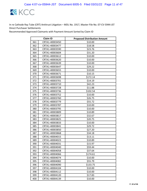

| <b>Claim ID</b> |                | <b>Proposed Distribution Amount</b> |
|-----------------|----------------|-------------------------------------|
| 361             | CRTA1-40003450 | \$10.00                             |
| 362             | CRTA1-40003477 | \$18.58                             |
| 363             | CRTA1-40003590 | \$23.76                             |
| 364             | CRTA1-40003604 | \$31.20                             |
| 365             | CRTA1-40003612 | \$10.00                             |
| 366             | CRTA1-40003620 | \$10.00                             |
| 367             | CRTA1-40003639 | \$10.00                             |
| 368             | CRTA1-40003647 | \$29.22                             |
| 369             | CRTA1-40003655 | \$10.00                             |
| 370             | CRTA1-40003671 | \$10.15                             |
| 371             | CRTA1-40003698 | \$172.14                            |
| 372             | CRTA1-40003701 | \$14.19                             |
| 373             | CRTA1-40003710 | \$42.23                             |
| 374             | CRTA1-40003728 | \$11.88                             |
| 375             | CRTA1-40003736 | \$102.54                            |
| 376             | CRTA1-40003752 | \$10.00                             |
| 377             | CRTA1-40003760 | \$26.75                             |
| 378             | CRTA1-40003779 | \$55.72                             |
| 379             | CRTA1-40003787 | \$10.00                             |
| 380             | CRTA1-40003795 | \$10.00                             |
| 381             | CRTA1-40003809 | \$10.89                             |
| 382             | CRTA1-40003817 | \$32.67                             |
| 383             | CRTA1-40003825 | \$20.75                             |
| 384             | CRTA1-40003833 | \$10.00                             |
| 385             | CRTA1-40003841 | \$29.72                             |
| 386             | CRTA1-40003850 | \$27.20                             |
| 387             | CRTA1-40003868 | \$34.18                             |
| 388             | CRTA1-40004015 | \$13.11                             |
| 389             | CRTA1-40004023 | \$10.89                             |
| 390             | CRTA1-40004031 | \$15.97                             |
| 391             | CRTA1-40004040 | \$59.44                             |
| 392             | CRTA1-40004058 | \$37.64                             |
| 393             | CRTA1-40004066 | \$174.61                            |
| 394             | CRTA1-40004074 | \$10.00                             |
| 395             | CRTA1-40004082 | \$55.79                             |
| 396             | CRTA1-40004090 | \$133.75                            |
| 397             | CRTA1-40004104 | \$10.00                             |
| 398             | CRTA1-40004112 | \$10.00                             |
| 399             | CRTA1-40004120 | \$17.83                             |
| 400             | CRTA1-40004139 | \$10.00                             |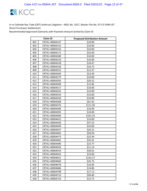

| <b>Claim ID</b> |                | <b>Proposed Distribution Amount</b> |
|-----------------|----------------|-------------------------------------|
| 401             | CRTA1-40004147 | \$10.00                             |
| 402             | CRTA1-40004155 | \$10.00                             |
| 403             | CRTA1-40004163 | \$10.00                             |
| 404             | CRTA1-40004171 | \$32.69                             |
| 405             | CRTA1-40004180 | \$10.00                             |
| 406             | CRTA1-40004210 | \$10.00                             |
| 407             | CRTA1-40004228 | \$18.47                             |
| 408             | CRTA1-40004236 | \$16.75                             |
| 409             | CRTA1-40004252 | \$13.37                             |
| 410             | CRTA1-40004260 | \$23.49                             |
| 411             | CRTA1-40004279 | \$10.00                             |
| 412             | CRTA1-40004295 | \$26.52                             |
| 413             | CRTA1-40004309 | \$12.82                             |
| 414             | CRTA1-40004317 | \$10.00                             |
| 415             | CRTA1-40004325 | \$10.00                             |
| 416             | CRTA1-40004333 | \$10.00                             |
| 417             | CRTA1-40004350 | \$10.89                             |
| 418             | CRTA1-40004368 | \$61.92                             |
| 419             | CRTA1-40004376 | \$111.95                            |
| 420             | CRTA1-40004384 | \$10.99                             |
| 421             | CRTA1-40004392 | \$10.00                             |
| 422             | CRTA1-40004406 | \$101.55                            |
| 423             | CRTA1-40004422 | \$10.00                             |
| 424             | CRTA1-40004430 | \$47.55                             |
| 425             | CRTA1-40004449 | \$10.00                             |
| 426             | CRTA1-40004457 | \$20.31                             |
| 427             | CRTA1-40004465 | \$58.94                             |
| 428             | CRTA1-40004473 | \$32.94                             |
| 429             | CRTA1-40004481 | \$35.91                             |
| 430             | CRTA1-40004490 | \$23.77                             |
| 431             | CRTA1-40004503 | \$11.14                             |
| 432             | CRTA1-40004554 | \$30.01                             |
| 433             | CRTA1-40004562 | \$10.00                             |
| 434             | CRTA1-40004651 | \$142.57                            |
| 435             | CRTA1-40004660 | \$26.75                             |
| 436             | CRTA1-40004678 | \$10.00                             |
| 437             | CRTA1-40004686 | \$14.86                             |
| 438             | CRTA1-40004708 | \$17.11                             |
| 439             | CRTA1-40004716 | \$90.40                             |
| 440             | CRTA1-40004724 | \$22.75                             |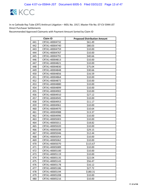

| <b>Claim ID</b> |                | <b>Proposed Distribution Amount</b> |
|-----------------|----------------|-------------------------------------|
| 441             | CRTA1-40004732 | \$61.49                             |
| 442             | CRTA1-40004740 | \$80.03                             |
| 443             | CRTA1-40004759 | \$10.00                             |
| 444             | CRTA1-40004767 | \$10.00                             |
| 445             | CRTA1-40004791 | \$40.66                             |
| 446             | CRTA1-40004813 | \$10.00                             |
| 447             | CRTA1-40004821 | \$10.00                             |
| 448             | CRTA1-40004830 | \$75.04                             |
| 449             | CRTA1-40004848 | \$30.66                             |
| 450             | CRTA1-40004856 | \$16.59                             |
| 451             | CRTA1-40004864 | \$10.00                             |
| 452             | CRTA1-40004872 | \$10.00                             |
| 453             | CRTA1-40004880 | \$10.00                             |
| 454             | CRTA1-40004899 | \$10.00                             |
| 455             | CRTA1-40004902 | \$10.00                             |
| 456             | CRTA1-40004910 | \$27.12                             |
| 457             | CRTA1-40004945 | \$10.00                             |
| 458             | CRTA1-40004953 | \$11.17                             |
| 459             | CRTA1-40004961 | \$10.00                             |
| 460             | CRTA1-40004970 | \$10.64                             |
| 461             | CRTA1-40004988 | \$13.37                             |
| 462             | CRTA1-40004996 | \$10.00                             |
| 463             | CRTA1-40005003 | \$10.00                             |
| 464             | CRTA1-40005011 | \$18.82                             |
| 465             | CRTA1-40005020 | \$10.00                             |
| 466             | CRTA1-40005038 | \$29.15                             |
| 467             | CRTA1-40005046 | \$12.44                             |
| 468             | CRTA1-40005054 | \$10.00                             |
| 469             | CRTA1-40005062 | \$10.00                             |
| 470             | CRTA1-40005070 | \$115.67                            |
| 471             | CRTA1-40005089 | \$10.00                             |
| 472             | CRTA1-40005100 | \$10.00                             |
| 473             | CRTA1-40005119 | \$10.00                             |
| 474             | CRTA1-40005135 | \$22.04                             |
| 475             | CRTA1-40005143 | \$56.47                             |
| 476             | CRTA1-40005178 | \$16.12                             |
| 477             | CRTA1-40005186 | \$27.72                             |
| 478             | CRTA1-40005194 | \$180.31                            |
| 479             | CRTA1-40005208 | \$10.00                             |
| 480             | CRTA1-40005216 | \$10.00                             |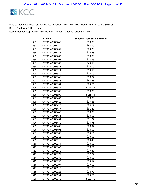

|     | <b>Claim ID</b> | <b>Proposed Distribution Amount</b> |
|-----|-----------------|-------------------------------------|
| 481 | CRTA1-40005240  | \$10.00                             |
| 482 | CRTA1-40005259  | \$53.99                             |
| 483 | CRTA1-40005267  | \$23.28                             |
| 484 | CRTA1-40005275  | \$26.25                             |
| 485 | CRTA1-40005283  | \$10.00                             |
| 486 | CRTA1-40005291  | \$23.53                             |
| 487 | CRTA1-40005305  | \$44.58                             |
| 488 | CRTA1-40005313  | \$10.00                             |
| 489 | CRTA1-40005321  | \$13.59                             |
| 490 | CRTA1-40005330  | \$10.00                             |
| 491 | CRTA1-40005348  | \$18.87                             |
| 492 | CRTA1-40005356  | \$43.46                             |
| 493 | CRTA1-40005364  | \$24.76                             |
| 494 | CRTA1-40005372  | \$173.38                            |
| 495 | CRTA1-40005380  | \$10.00                             |
| 496 | CRTA1-40005399  | \$135.73                            |
| 497 | CRTA1-40005402  | \$10.00                             |
| 498 | CRTA1-40005410  | \$17.83                             |
| 499 | CRTA1-40005429  | \$26.67                             |
| 500 | CRTA1-40005437  | \$31.20                             |
| 501 | CRTA1-40005445  | \$10.00                             |
| 502 | CRTA1-40005453  | \$10.00                             |
| 503 | CRTA1-40005461  | \$11.24                             |
| 504 | CRTA1-40005470  | \$25.75                             |
| 505 | CRTA1-40005488  | \$28.97                             |
| 506 | CRTA1-40005496  | \$10.00                             |
| 507 | CRTA1-40005500  | \$14.66                             |
| 508 | CRTA1-40005518  | \$23.03                             |
| 509 | CRTA1-40005526  | \$23.48                             |
| 510 | CRTA1-40005534  | \$10.00                             |
| 511 | CRTA1-40005542  | \$38.71                             |
| 512 | CRTA1-40005550  | \$17.83                             |
| 513 | CRTA1-40005577  | \$12.87                             |
| 514 | CRTA1-40005585  | \$10.00                             |
| 515 | CRTA1-40005593  | \$14.52                             |
| 516 | CRTA1-40005607  | \$39.63                             |
| 517 | CRTA1-40005615  | \$21.79                             |
| 518 | CRTA1-40005623  | \$24.76                             |
| 519 | CRTA1-40005631  | \$24.76                             |
| 520 | CRTA1-40005640  | \$132.41                            |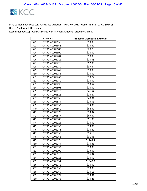

|     | Claim ID       | <b>Proposed Distribution Amount</b> |
|-----|----------------|-------------------------------------|
| 521 | CRTA1-40005658 | \$10.00                             |
| 522 | CRTA1-40005666 | \$13.62                             |
| 523 | CRTA1-40005682 | \$28.73                             |
| 524 | CRTA1-40005690 | \$10.00                             |
| 525 | CRTA1-40005704 | \$18.08                             |
| 526 | CRTA1-40005712 | \$15.35                             |
| 527 | CRTA1-40005720 | \$92.85                             |
| 528 | CRTA1-40005739 | \$37.64                             |
| 529 | CRTA1-40005747 | \$10.00                             |
| 530 | CRTA1-40005755 | \$10.00                             |
| 531 | CRTA1-40005763 | \$30.72                             |
| 532 | CRTA1-40005780 | \$10.00                             |
| 533 | CRTA1-40005798 | \$10.52                             |
| 534 | CRTA1-40005801 | \$10.00                             |
| 535 | CRTA1-40005810 | \$41.57                             |
| 536 | CRTA1-40005828 | \$13.87                             |
| 537 | CRTA1-40005836 | \$48.01                             |
| 538 | CRTA1-40005844 | \$23.53                             |
| 539 | CRTA1-40005852 | \$74.05                             |
| 540 | CRTA1-40005860 | \$84.32                             |
| 541 | CRTA1-40005879 | \$13.37                             |
| 542 | CRTA1-40005887 | \$67.37                             |
| 543 | CRTA1-40005909 | \$91.05                             |
| 544 | CRTA1-40005925 | \$10.00                             |
| 545 | CRTA1-40005933 | \$13.86                             |
| 546 | CRTA1-40005941 | \$20.80                             |
| 547 | CRTA1-40005950 | \$15.10                             |
| 548 | CRTA1-40005968 | \$31.66                             |
| 549 | CRTA1-40005976 | \$114.04                            |
| 550 | CRTA1-40005984 | \$70.83                             |
| 551 | CRTA1-40005992 | \$10.00                             |
| 552 | CRTA1-40006000 | \$13.62                             |
| 553 | CRTA1-40006018 | \$16.34                             |
| 554 | CRTA1-40006026 | \$10.50                             |
| 555 | CRTA1-40006034 | \$154.20                            |
| 556 | CRTA1-40006042 | \$10.00                             |
| 557 | CRTA1-40006050 | \$10.89                             |
| 558 | CRTA1-40006069 | \$10.13                             |
| 559 | CRTA1-40006077 | \$19.91                             |
| 560 | CRTA1-40006085 | \$10.26                             |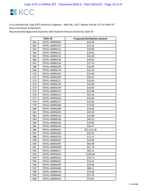

|     | <b>Claim ID</b> | <b>Proposed Distribution Amount</b> |
|-----|-----------------|-------------------------------------|
| 561 | CRTA1-40006093  | \$26.99                             |
| 562 | CRTA1-40006107  | \$13.25                             |
| 563 | CRTA1-40006115  | \$10.00                             |
| 564 | CRTA1-40006123  | \$19.81                             |
| 565 | CRTA1-40006131  | \$10.00                             |
| 566 | CRTA1-40006140  | \$39.63                             |
| 567 | CRTA1-40006158  | \$17.33                             |
| 568 | CRTA1-40006166  | \$10.00                             |
| 569 | CRTA1-40006174  | \$31.63                             |
| 570 | CRTA1-40006182  | \$10.00                             |
| 571 | CRTA1-40006204  | \$28.23                             |
| 572 | CRTA1-40006212  | \$10.00                             |
| 573 | CRTA1-40006220  | \$10.00                             |
| 574 | CRTA1-40006239  | \$16.82                             |
| 575 | CRTA1-40006247  | \$23.08                             |
| 576 | CRTA1-40006255  | \$35.66                             |
| 577 | CRTA1-40006263  | \$10.00                             |
| 578 | CRTA1-40006271  | \$10.00                             |
| 579 | CRTA1-40006280  | \$74.30                             |
| 580 | CRTA1-40006298  | \$10.00                             |
| 581 | CRTA1-40006301  | \$24.59                             |
| 582 | CRTA1-40006310  | \$10.00                             |
| 583 | CRTA1-40006328  | \$40.35                             |
| 584 | CRTA1-40006336  | \$10.00                             |
| 585 | CRTA1-40006344  | \$56.47                             |
| 586 | CRTA1-40006352  | \$25,515.26                         |
| 587 | CRTA1-40006360  | \$32.65                             |
| 588 | CRTA1-40006379  | \$13.12                             |
| 589 | CRTA1-40006387  | \$10.00                             |
| 590 | CRTA1-40006395  | \$64.89                             |
| 591 | CRTA1-40006409  | \$31.79                             |
| 592 | CRTA1-40006417  | \$84.21                             |
| 593 | CRTA1-40006425  | \$100.06                            |
| 594 | CRTA1-40006433  | \$26.75                             |
| 595 | CRTA1-40006441  | \$16.53                             |
| 596 | CRTA1-40006450  | \$29.68                             |
| 597 | CRTA1-40006468  | \$68.11                             |
| 598 | CRTA1-40006476  | \$32.69                             |
| 599 | CRTA1-40006484  | \$33.70                             |
| 600 | CRTA1-40006492  | \$19.81                             |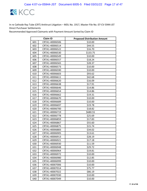

| <b>Claim ID</b> |                | <b>Proposed Distribution Amount</b> |
|-----------------|----------------|-------------------------------------|
| 601             | CRTA1-40006506 | \$10.00                             |
| 602             | CRTA1-40006514 | \$44.55                             |
| 603             | CRTA1-40006522 | \$16.70                             |
| 604             | CRTA1-40006530 | \$133.75                            |
| 605             | CRTA1-40006549 | \$10.00                             |
| 606             | CRTA1-40006557 | \$18.24                             |
| 607             | CRTA1-40006565 | \$28.37                             |
| 608             | CRTA1-40006573 | \$10.00                             |
| 609             | CRTA1-40006590 | \$10.00                             |
| 610             | CRTA1-40006603 | \$93.62                             |
| 611             | CRTA1-40006611 | \$42.68                             |
| 612             | CRTA1-40006620 | \$16.09                             |
| 613             | CRTA1-40006638 | \$17.91                             |
| 614             | CRTA1-40006646 | \$14.86                             |
| 615             | CRTA1-40006654 | \$14.86                             |
| 616             | CRTA1-40006662 | \$19.31                             |
| 617             | CRTA1-40006670 | \$10.00                             |
| 618             | CRTA1-40006689 | \$10.00                             |
| 619             | CRTA1-40006697 | \$19.78                             |
| 620             | CRTA1-40006700 | \$18.82                             |
| 621             | CRTA1-40006719 | \$680.55                            |
| 622             | CRTA1-40006778 | \$25.69                             |
| 623             | CRTA1-40006859 | \$17.83                             |
| 624             | CRTA1-40006867 | \$55.60                             |
| 625             | CRTA1-40006875 | \$15.74                             |
| 626             | CRTA1-40006883 | \$34.02                             |
| 627             | CRTA1-40006905 | \$13.61                             |
| 628             | CRTA1-40006913 | \$28.19                             |
| 629             | CRTA1-40006921 | \$17.18                             |
| 630             | CRTA1-40006930 | \$11.59                             |
| 631             | CRTA1-40006948 | \$29.72                             |
| 632             | CRTA1-40006964 | \$19.81                             |
| 633             | CRTA1-40006972 | \$10.00                             |
| 634             | CRTA1-40006980 | \$12.85                             |
| 635             | CRTA1-40006999 | \$10.00                             |
| 636             | CRTA1-40007006 | \$10.00                             |
| 637             | CRTA1-40007014 | \$75.77                             |
| 638             | CRTA1-40007022 | \$86.19                             |
| 639             | CRTA1-40007030 | \$10.00                             |
| 640             | CRTA1-40007049 | \$10.00                             |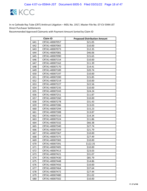

|     | <b>Claim ID</b> | <b>Proposed Distribution Amount</b> |
|-----|-----------------|-------------------------------------|
| 641 | CRTA1-40007057  | \$21.05                             |
| 642 | CRTA1-40007065  | \$10.00                             |
| 643 | CRTA1-40007073  | \$12.35                             |
| 644 | CRTA1-40007081  | \$46.06                             |
| 645 | CRTA1-40007090  | \$15.65                             |
| 646 | CRTA1-40007154  | \$10.00                             |
| 647 | CRTA1-40007162  | \$11.39                             |
| 648 | CRTA1-40007170  | \$14.41                             |
| 649 | CRTA1-40007189  | \$20.74                             |
| 650 | CRTA1-40007197  | \$10.00                             |
| 651 | CRTA1-40007200  | \$15.85                             |
| 652 | CRTA1-40007219  | \$10.00                             |
| 653 | CRTA1-40007227  | \$22.56                             |
| 654 | CRTA1-40007235  | \$10.00                             |
| 655 | CRTA1-40007243  | \$24.24                             |
| 656 | CRTA1-40007251  | \$11.87                             |
| 657 | CRTA1-40007260  | \$10.00                             |
| 658 | CRTA1-40007278  | \$31.43                             |
| 659 | CRTA1-40007286  | \$13.03                             |
| 660 | CRTA1-40007294  | \$15.23                             |
| 661 | CRTA1-40007308  | \$13.87                             |
| 662 | CRTA1-40007316  | \$14.34                             |
| 663 | CRTA1-40007324  | \$11.86                             |
| 664 | CRTA1-40007332  | \$66.38                             |
| 665 | CRTA1-40007340  | \$27.74                             |
| 666 | CRTA1-40007359  | \$21.79                             |
| 667 | CRTA1-40007367  | \$10.00                             |
| 668 | CRTA1-40007375  | \$27.49                             |
| 669 | CRTA1-40007383  | \$10.00                             |
| 670 | CRTA1-40007391  | \$122.35                            |
| 671 | CRTA1-40007405  | \$10.00                             |
| 672 | CRTA1-40007413  | \$23.03                             |
| 673 | CRTA1-40007421  | \$31.07                             |
| 674 | CRTA1-40007430  | \$85.79                             |
| 675 | CRTA1-40007448  | \$14.86                             |
| 676 | CRTA1-40007456  | \$10.00                             |
| 677 | CRTA1-40007464  | \$37.64                             |
| 678 | CRTA1-40007472  | \$27.44                             |
| 679 | CRTA1-40007480  | \$51.02                             |
| 680 | CRTA1-40007502  | \$10.00                             |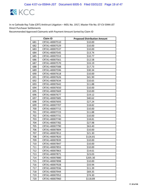

|     | <b>Claim ID</b> | <b>Proposed Distribution Amount</b> |
|-----|-----------------|-------------------------------------|
| 681 | CRTA1-40007510  | \$10.00                             |
| 682 | CRTA1-40007529  | \$10.00                             |
| 683 | CRTA1-40007537  | \$10.00                             |
| 684 | CRTA1-40007545  | \$13.74                             |
| 685 | CRTA1-40007553  | \$10.77                             |
| 686 | CRTA1-40007561  | \$12.58                             |
| 687 | CRTA1-40007570  | \$33.19                             |
| 688 | CRTA1-40007588  | \$17.73                             |
| 689 | CRTA1-40007596  | \$30.34                             |
| 690 | CRTA1-40007618  | \$10.00                             |
| 691 | CRTA1-40007626  | \$41.90                             |
| 692 | CRTA1-40007634  | \$10.65                             |
| 693 | CRTA1-40007642  | \$11.88                             |
| 694 | CRTA1-40007650  | \$10.00                             |
| 695 | CRTA1-40007669  | \$10.00                             |
| 696 | CRTA1-40007677  | \$19.12                             |
| 697 | CRTA1-40007685  | \$40.62                             |
| 698 | CRTA1-40007693  | \$27.24                             |
| 699 | CRTA1-40007707  | \$18.82                             |
| 700 | CRTA1-40007715  | \$10.00                             |
| 701 | CRTA1-40007723  | \$11.88                             |
| 702 | CRTA1-40007731  | \$10.00                             |
| 703 | CRTA1-40007740  | \$18.81                             |
| 704 | CRTA1-40007782  | \$27.98                             |
| 705 | CRTA1-40007790  | \$63.40                             |
| 706 | CRTA1-40007804  | \$10.00                             |
| 707 | CRTA1-40007812  | \$21.30                             |
| 708 | CRTA1-40007820  | \$126.81                            |
| 709 | CRTA1-40007839  | \$10.00                             |
| 710 | CRTA1-40007847  | \$10.00                             |
| 711 | CRTA1-40007855  | \$10.00                             |
| 712 | CRTA1-40007863  | \$14.61                             |
| 713 | CRTA1-40007871  | \$23.03                             |
| 714 | CRTA1-40007880  | \$205.30                            |
| 715 | CRTA1-40007898  | \$10.00                             |
| 716 | CRTA1-40007928  | \$33.94                             |
| 717 | CRTA1-40007936  | \$11.39                             |
| 718 | CRTA1-40007944  | \$69.35                             |
| 719 | CRTA1-40007952  | \$74.30                             |
| 720 | CRTA1-40007960  | \$118.89                            |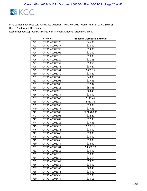

|     | <b>Claim ID</b> | <b>Proposed Distribution Amount</b> |
|-----|-----------------|-------------------------------------|
| 721 | CRTA1-40007979  | \$46.06                             |
| 722 | CRTA1-40007987  | \$10.00                             |
| 723 | CRTA1-40007995  | \$14.86                             |
| 724 | CRTA1-40008002  | \$21.00                             |
| 725 | CRTA1-40008010  | \$10.00                             |
| 726 | CRTA1-40008029  | \$11.88                             |
| 727 | CRTA1-40008037  | \$10.65                             |
| 728 | CRTA1-40008045  | \$37.27                             |
| 729 | CRTA1-40008061  | \$465.75                            |
| 730 | CRTA1-40008070  | \$15.42                             |
| 731 | CRTA1-40008088  | \$43.09                             |
| 732 | CRTA1-40008096  | \$17.83                             |
| 733 | CRTA1-40008100  | \$72.32                             |
| 734 | CRTA1-40008118  | \$55.48                             |
| 735 | CRTA1-40008126  | \$63.40                             |
| 736 | CRTA1-40008134  | \$10.00                             |
| 737 | CRTA1-40008142  | \$111.45                            |
| 738 | CRTA1-40008150  | \$311.76                            |
| 739 | CRTA1-40008169  | \$10.00                             |
| 740 | CRTA1-40008177  | \$17.83                             |
| 741 | CRTA1-40008185  | \$221,780.96                        |
| 742 | CRTA1-40008193  | \$22.29                             |
| 743 | CRTA1-40008207  | \$12.38                             |
| 744 | CRTA1-40008215  | \$19.81                             |
| 745 | CRTA1-40008223  | \$292.76                            |
| 746 | CRTA1-40008231  | \$10.00                             |
| 747 | CRTA1-40008240  | \$10.00                             |
| 748 | CRTA1-40008258  | \$10.00                             |
| 749 | CRTA1-40008266  | \$10.00                             |
| 750 | CRTA1-40008274  | \$18.32                             |
| 751 | CRTA1-40008304  | \$9,552.70                          |
| 752 | CRTA1-40008312  | \$10.00                             |
| 753 | CRTA1-40008320  | \$10.00                             |
| 754 | CRTA1-40008339  | \$21.54                             |
| 755 | CRTA1-40008347  | \$53.25                             |
| 756 | CRTA1-40008355  | \$10.00                             |
| 757 | CRTA1-40008363  | \$60.43                             |
| 758 | CRTA1-40008371  | \$10.00                             |
| 759 | CRTA1-40008436  | \$17.83                             |
| 760 | CRTA1-40008444  | \$10.15                             |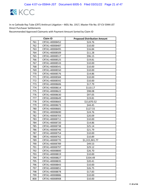

|     | <b>Claim ID</b> | <b>Proposed Distribution Amount</b> |
|-----|-----------------|-------------------------------------|
| 761 | CRTA1-40008452  | \$24.76                             |
| 762 | CRTA1-40008487  | \$10.00                             |
| 763 | CRTA1-40008495  | \$16.84                             |
| 764 | CRTA1-40008509  | \$11.28                             |
| 765 | CRTA1-40008517  | \$96.15                             |
| 766 | CRTA1-40008525  | \$19.81                             |
| 767 | CRTA1-40008533  | \$10.00                             |
| 768 | CRTA1-40008541  | \$10.00                             |
| 769 | CRTA1-40008550  | \$10.00                             |
| 770 | CRTA1-40008576  | \$14.86                             |
| 771 | CRTA1-40008584  | \$10.00                             |
| 772 | CRTA1-40008592  | \$10.00                             |
| 773 | CRTA1-40008606  | \$17.79                             |
| 774 | CRTA1-40008614  | \$110.17                            |
| 775 | CRTA1-40008622  | \$98.08                             |
| 776 | CRTA1-40008630  | \$97.05                             |
| 777 | CRTA1-40008649  | \$19.81                             |
| 778 | CRTA1-40008665  | \$13,870.52                         |
| 779 | CRTA1-40008673  | \$44.45                             |
| 780 | CRTA1-40008681  | \$127.55                            |
| 781 | CRTA1-40008690  | \$24.76                             |
| 782 | CRTA1-40008703  | \$20.09                             |
| 783 | CRTA1-40008711  | \$10.00                             |
| 784 | CRTA1-40008720  | \$14.86                             |
| 785 | CRTA1-40008738  | \$25.14                             |
| 786 | CRTA1-40008746  | \$21.79                             |
| 787 | CRTA1-40008754  | \$10.00                             |
| 788 | CRTA1-40008762  | \$10.89                             |
| 789 | CRTA1-40008770  | \$1,315,901.77                      |
| 790 | CRTA1-40008789  | \$49.53                             |
| 791 | CRTA1-40008797  | \$29.12                             |
| 792 | CRTA1-40008800  | \$26.70                             |
| 793 | CRTA1-40008819  | \$10.00                             |
| 794 | CRTA1-40008827  | \$334.49                            |
| 795 | CRTA1-40008835  | \$20.41                             |
| 796 | CRTA1-40008843  | \$10.00                             |
| 797 | CRTA1-40008851  | \$26.75                             |
| 798 | CRTA1-40008878  | \$17.83                             |
| 799 | CRTA1-40008886  | \$10.00                             |
| 800 | CRTA1-40008908  | \$10.00                             |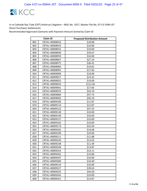

|     | <b>Claim ID</b> | <b>Proposed Distribution Amount</b> |
|-----|-----------------|-------------------------------------|
| 801 | CRTA1-40008916  | \$18.08                             |
| 802 | CRTA1-40008924  | \$10.00                             |
| 803 | CRTA1-40008932  | \$10.00                             |
| 804 | CRTA1-40008940  | \$34.67                             |
| 805 | CRTA1-40008959  | \$10.00                             |
| 806 | CRTA1-40008967  | \$27.24                             |
| 807 | CRTA1-40008975  | \$36.41                             |
| 808 | CRTA1-40008983  | \$19.81                             |
| 809 | CRTA1-40008991  | \$17.83                             |
| 810 | CRTA1-40009009  | \$10.00                             |
| 811 | CRTA1-40009017  | \$14.32                             |
| 812 | CRTA1-40009025  | \$10.00                             |
| 813 | CRTA1-40009033  | \$112.46                            |
| 814 | CRTA1-40009041  | \$17.83                             |
| 815 | CRTA1-40009076  | \$43.19                             |
| 816 | CRTA1-40009084  | \$97.73                             |
| 817 | CRTA1-40009092  | \$50.19                             |
| 818 | CRTA1-40009106  | \$11.87                             |
| 819 | CRTA1-40009114  | \$12.87                             |
| 820 | CRTA1-40009122  | \$47.55                             |
| 821 | CRTA1-40009130  | \$10.00                             |
| 822 | CRTA1-40009149  | \$10.00                             |
| 823 | CRTA1-40009157  | \$10.00                             |
| 824 | CRTA1-40009165  | \$10.00                             |
| 825 | CRTA1-40009173  | \$22.04                             |
| 826 | CRTA1-40009181  | \$14.68                             |
| 827 | CRTA1-40009190  | \$10.00                             |
| 828 | CRTA1-40009211  | \$11.88                             |
| 829 | CRTA1-40009220  | \$12.63                             |
| 830 | CRTA1-40009238  | \$11.39                             |
| 831 | CRTA1-40009246  | \$13.87                             |
| 832 | CRTA1-40009254  | \$14.11                             |
| 833 | CRTA1-40009262  | \$14.86                             |
| 834 | CRTA1-40009297  | \$10.00                             |
| 835 | CRTA1-40009300  | \$10.40                             |
| 836 | CRTA1-40009319  | \$10.00                             |
| 837 | CRTA1-40009327  | \$39.63                             |
| 838 | CRTA1-40009335  | \$44.58                             |
| 839 | CRTA1-40009343  | \$10.00                             |
| 840 | CRTA1-40009351  | \$13.87                             |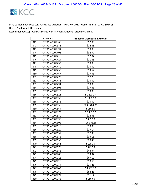

|     | <b>Claim ID</b> | <b>Proposed Distribution Amount</b> |
|-----|-----------------|-------------------------------------|
| 841 | CRTA1-40009360  | \$52.05                             |
| 842 | CRTA1-40009386  | \$12.86                             |
| 843 | CRTA1-40009394  | \$10.00                             |
| 844 | CRTA1-40009408  | \$34.92                             |
| 845 | CRTA1-40009416  | \$12.87                             |
| 846 | CRTA1-40009424  | \$11.88                             |
| 847 | CRTA1-40009432  | \$10.00                             |
| 848 | CRTA1-40009440  | \$10.00                             |
| 849 | CRTA1-40009459  | \$13.62                             |
| 850 | CRTA1-40009467  | \$17.33                             |
| 851 | CRTA1-40009475  | \$17.29                             |
| 852 | CRTA1-40009483  | \$10.00                             |
| 853 | CRTA1-40009491  | \$10.00                             |
| 854 | CRTA1-40009505  | \$17.83                             |
| 855 | CRTA1-40009513  | \$10.00                             |
| 856 | CRTA1-40009521  | \$1,223.29                          |
| 857 | CRTA1-40009530  | \$1,092.30                          |
| 858 | CRTA1-40009548  | \$10.00                             |
| 859 | CRTA1-40009556  | \$239,784.06                        |
| 860 | CRTA1-40009564  | \$116.90                            |
| 861 | CRTA1-40009572  | \$2,993.32                          |
| 862 | CRTA1-40009580  | \$14.36                             |
| 863 | CRTA1-40009599  | \$385.30                            |
| 864 | CRTA1-40009602  | \$26,391.85                         |
| 865 | CRTA1-40009610  | \$10.00                             |
| 866 | CRTA1-40009629  | \$17.14                             |
| 867 | CRTA1-40009637  | \$17.33                             |
| 868 | CRTA1-40009645  | \$33.15                             |
| 869 | CRTA1-40009653  | \$28.45                             |
| 870 | CRTA1-40009661  | \$128.15                            |
| 871 | CRTA1-40009670  | \$327.93                            |
| 872 | CRTA1-40009688  | \$48.34                             |
| 873 | CRTA1-40009700  | \$13.37                             |
| 874 | CRTA1-40009718  | \$69.10                             |
| 875 | CRTA1-40009726  | \$38.63                             |
| 876 | CRTA1-40009734  | \$15.25                             |
| 877 | CRTA1-40009742  | \$8,657.70                          |
| 878 | CRTA1-40009769  | \$84.21                             |
| 879 | CRTA1-40009777  | \$11.14                             |
| 880 | CRTA1-40009785  | \$116.66                            |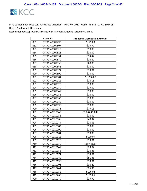

|     | <b>Claim ID</b> | <b>Proposed Distribution Amount</b> |
|-----|-----------------|-------------------------------------|
| 881 | CRTA1-40009793  | \$125.03                            |
| 882 | CRTA1-40009807  | \$29.72                             |
| 883 | CRTA1-40009815  | \$10.00                             |
| 884 | CRTA1-40009823  | \$10.00                             |
| 885 | CRTA1-40009831  | \$14.42                             |
| 886 | CRTA1-40009840  | \$13.82                             |
| 887 | CRTA1-40009858  | \$68.85                             |
| 888 | CRTA1-40009866  | \$10.00                             |
| 889 | CRTA1-40009874  | \$39.81                             |
| 890 | CRTA1-40009890  | \$10.00                             |
| 891 | CRTA1-40009904  | \$1,236.07                          |
| 892 | CRTA1-40009912  | \$10.15                             |
| 893 | CRTA1-40009920  | \$10.00                             |
| 894 | CRTA1-40009939  | \$29.02                             |
| 895 | CRTA1-40009947  | \$10.00                             |
| 896 | CRTA1-40009955  | \$10.00                             |
| 897 | CRTA1-40009963  | \$10.00                             |
| 898 | CRTA1-40009980  | \$10.00                             |
| 899 | CRTA1-40009998  | \$10.00                             |
| 900 | CRTA1-40010031  | \$79.16                             |
| 901 | CRTA1-40010040  | \$3,247,419.43                      |
| 902 | CRTA1-40010058  | \$10.00                             |
| 903 | CRTA1-40010066  | \$40.32                             |
| 904 | CRTA1-40010074  | \$25.01                             |
| 905 | CRTA1-40010082  | \$10.00                             |
| 906 | CRTA1-40010090  | \$10.00                             |
| 907 | CRTA1-40010104  | \$10.00                             |
| 908 | CRTA1-40010112  | \$100.09                            |
| 909 | CRTA1-40010120  | \$19.81                             |
| 910 | CRTA1-40010139  | \$60,406.87                         |
| 911 | CRTA1-40010147  | \$29.82                             |
| 912 | CRTA1-40010155  | \$26.41                             |
| 913 | CRTA1-40010171  | \$19.81                             |
| 914 | CRTA1-40010180  | \$51.45                             |
| 915 | CRTA1-40010198  | \$19.81                             |
| 916 | CRTA1-40010201  | \$36.20                             |
| 917 | CRTA1-40010244  | \$25.36                             |
| 918 | CRTA1-40010252  | \$126.02                            |
| 919 | CRTA1-40010260  | \$155.05                            |
| 920 | CRTA1-40010279  | \$29.72                             |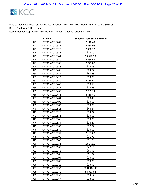

| <b>Claim ID</b> |                | <b>Proposed Distribution Amount</b> |
|-----------------|----------------|-------------------------------------|
| 921             | CRTA1-40010287 | \$140.49                            |
| 922             | CRTA1-40010317 | \$450.04                            |
| 923             | CRTA1-40010325 | \$350.72                            |
| 924             | CRTA1-40010333 | \$10.00                             |
| 925             | CRTA1-40010341 | \$3,622.33                          |
| 926             | CRTA1-40010350 | \$284.93                            |
| 927             | CRTA1-40010368 | \$271.88                            |
| 928             | CRTA1-40010376 | \$26.96                             |
| 929             | CRTA1-40010406 | \$29.72                             |
| 930             | CRTA1-40010414 | \$55.48                             |
| 931             | CRTA1-40010422 | \$10.00                             |
| 932             | CRTA1-40010430 | \$356.91                            |
| 933             | CRTA1-40010449 | \$18.58                             |
| 934             | CRTA1-40010457 | \$24.76                             |
| 935             | CRTA1-40010465 | \$289.14                            |
| 936             | CRTA1-40010473 | \$318.40                            |
| 937             | CRTA1-40010481 | \$28.43                             |
| 938             | CRTA1-40010490 | \$10.00                             |
| 939             | CRTA1-40010503 | \$10.00                             |
| 940             | CRTA1-40010511 | \$44.84                             |
| 941             | CRTA1-40010520 | \$39.04                             |
| 942             | CRTA1-40010538 | \$10.00                             |
| 943             | CRTA1-40010546 | \$10.00                             |
| 944             | CRTA1-40010554 | \$24.27                             |
| 945             | CRTA1-40010562 | \$12.87                             |
| 946             | CRTA1-40010589 | \$10.00                             |
| 947             | CRTA1-40010597 | \$107.00                            |
| 948             | CRTA1-40010600 | \$31.70                             |
| 949             | CRTA1-40010643 | \$11.88                             |
| 950             | CRTA1-40010651 | \$66,168.24                         |
| 951             | CRTA1-40010660 | \$42.10                             |
| 952             | CRTA1-40010678 | \$66.92                             |
| 953             | CRTA1-40010686 | \$51.02                             |
| 954             | CRTA1-40010694 | \$20.55                             |
| 955             | CRTA1-40010708 | \$10.00                             |
| 956             | CRTA1-40010716 | \$33.93                             |
| 957             | CRTA1-40010732 | \$201,101.49                        |
| 958             | CRTA1-40010740 | \$4,067.82                          |
| 959             | CRTA1-40010759 | \$13.12                             |
| 960             | CRTA1-40010767 | \$28.01                             |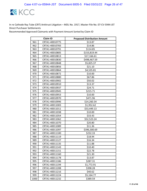

| <b>Claim ID</b> |                | <b>Proposed Distribution Amount</b> |
|-----------------|----------------|-------------------------------------|
| 961             | CRTA1-40010775 | \$13.87                             |
| 962             | CRTA1-40010783 | \$14.86                             |
| 963             | CRTA1-40010791 | \$114.85                            |
| 964             | CRTA1-40010805 | \$153,819.44                        |
| 965             | CRTA1-40010813 | \$17,166.61                         |
| 966             | CRTA1-40010830 | \$498,467.59                        |
| 967             | CRTA1-40010848 | \$5,825.37                          |
| 968             | CRTA1-40010856 | \$21.10                             |
| 969             | CRTA1-40010864 | \$4,535.81                          |
| 970             | CRTA1-40010872 | \$10.00                             |
| 971             | CRTA1-40010880 | \$67.86                             |
| 972             | CRTA1-40010902 | \$50.02                             |
| 973             | CRTA1-40010910 | \$13.37                             |
| 974             | CRTA1-40010937 | \$24.71                             |
| 975             | CRTA1-40010945 | \$215.71                            |
| 976             | CRTA1-40010953 | \$10.00                             |
| 977             | CRTA1-40010970 | \$471.96                            |
| 978             | CRTA1-40010996 | \$14,260.34                         |
| 979             | CRTA1-40011003 | \$1,952.62                          |
| 980             | CRTA1-40011011 | \$53,449.13                         |
| 981             | CRTA1-40011038 | \$10.00                             |
| 982             | CRTA1-40011054 | \$33.43                             |
| 983             | CRTA1-40011062 | \$52,523.24                         |
| 984             | CRTA1-40011070 | \$20.80                             |
| 985             | CRTA1-40011089 | \$11.36                             |
| 986             | CRTA1-40011097 | \$396,300.69                        |
| 987             | CRTA1-40011100 | \$232.33                            |
| 988             | CRTA1-40011119 | \$18.94                             |
| 989             | CRTA1-40011127 | \$16.34                             |
| 990             | CRTA1-40011135 | \$11.88                             |
| 991             | CRTA1-40011143 | \$10.40                             |
| 992             | CRTA1-40011151 | \$22.78                             |
| 993             | CRTA1-40011160 | \$21.30                             |
| 994             | CRTA1-40011178 | \$13.87                             |
| 995             | CRTA1-40011186 | \$287.31                            |
| 996             | CRTA1-40011194 | \$1,772.91                          |
| 997             | CRTA1-40011208 | \$398.28                            |
| 998             | CRTA1-40011216 | \$40.62                             |
| 999             | CRTA1-40011224 | \$5,164.77                          |
| 1000            | CRTA1-40011232 | \$389.59                            |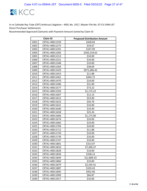

| <b>Claim ID</b> |                | <b>Proposed Distribution Amount</b> |
|-----------------|----------------|-------------------------------------|
| 1001            | CRTA1-40011259 | \$428.04                            |
| 1002            | CRTA1-40011275 | \$34.67                             |
| 1003            | CRTA1-40011291 | \$107.99                            |
| 1004            | CRTA1-40011305 | \$343,154.62                        |
| 1005            | CRTA1-40011313 | \$10.00                             |
| 1006            | CRTA1-40011321 | \$10.00                             |
| 1007            | CRTA1-40011348 | \$10.00                             |
| 1008            | CRTA1-40011364 | \$38.69                             |
| 1009            | CRTA1-40011429 | \$971,006.42                        |
| 1010            | CRTA1-40011453 | \$11.88                             |
| 1011            | CRTA1-40011461 | \$444.72                            |
| 1012            | CRTA1-40011470 | \$10.00                             |
| 1013            | CRTA1-40011496 | \$31.00                             |
| 1014            | CRTA1-40011577 | \$73.22                             |
| 1015            | CRTA1-40011593 | \$1,175.22                          |
| 1016            | CRTA1-40011607 | \$12.15                             |
| 1017            | CRTA1-40011615 | \$53.00                             |
| 1018            | CRTA1-40011623 | \$56.76                             |
| 1019            | CRTA1-40011631 | \$10.00                             |
| 1020            | CRTA1-40011640 | \$10.40                             |
| 1021            | CRTA1-40011658 | \$25.26                             |
| 1022            | CRTA1-40011666 | \$1,175.00                          |
| 1023            | CRTA1-40011674 | \$10.00                             |
| 1024            | CRTA1-40011682 | \$10.00                             |
| 1025            | CRTA1-40011704 | \$10.00                             |
| 1026            | CRTA1-40011712 | \$11.88                             |
| 1027            | CRTA1-40011720 | \$10.00                             |
| 1028            | CRTA1-40011739 | \$10.00                             |
| 1029            | CRTA1-40011747 | \$10.00                             |
| 1030            | CRTA1-40011801 | \$313.07                            |
| 1031            | CRTA1-40011810 | \$7,496.37                          |
| 1032            | CRTA1-40011828 | \$10.00                             |
| 1033            | CRTA1-40011836 | \$338.14                            |
| 1034            | CRTA1-40011844 | \$12,809.33                         |
| 1035            | CRTA1-40011860 | \$10.00                             |
| 1036            | CRTA1-40011879 | \$2,545.41                          |
| 1037            | CRTA1-40011887 | \$103.43                            |
| 1038            | CRTA1-40011895 | \$952.96                            |
| 1039            | CRTA1-40011909 | \$66.87                             |
| 1040            | CRTA1-40011917 | \$10.00                             |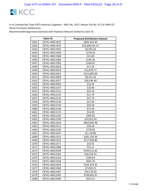

| <b>Claim ID</b> |                | <b>Proposed Distribution Amount</b> |
|-----------------|----------------|-------------------------------------|
| 1041            | CRTA1-40011925 | \$895,454.30                        |
| 1042            | CRTA1-40011933 | \$16,840,421.47                     |
| 1043            | CRTA1-40011941 | \$6,935.26                          |
| 1044            | CRTA1-40011950 | \$178.33                            |
| 1045            | CRTA1-40011968 | \$31.80                             |
| 1046            | CRTA1-40011984 | \$146.36                            |
| 1047            | CRTA1-40011992 | \$168.42                            |
| 1048            | CRTA1-40012026 | \$17.44                             |
| 1049            | CRTA1-40012034 | \$12,879.77                         |
| 1050            | CRTA1-40012042 | \$215,809.00                        |
| 1051            | CRTA1-40012069 | \$9,415.10                          |
| 1052            | CRTA1-40012077 | \$50,546.40                         |
| 1053            | CRTA1-40012093 | \$16.34                             |
| 1054            | CRTA1-40012107 | \$10.00                             |
| 1055            | CRTA1-40012115 | \$25.16                             |
| 1056            | CRTA1-40012123 | \$21.79                             |
| 1057            | CRTA1-40012131 | \$27.74                             |
| 1058            | CRTA1-40012140 | \$27.49                             |
| 1059            | CRTA1-40012158 | \$44.58                             |
| 1060            | CRTA1-40012166 | \$75.04                             |
| 1061            | CRTA1-40012174 | \$53.00                             |
| 1062            | CRTA1-40012182 | \$399.82                            |
| 1063            | CRTA1-40012190 | \$19,815.03                         |
| 1064            | CRTA1-40012204 | \$663,845.48                        |
| 1065            | CRTA1-40012212 | \$59.44                             |
| 1066            | CRTA1-40012220 | \$778.85                            |
| 1067            | CRTA1-40012247 | \$1,116.89                          |
| 1068            | CRTA1-40012255 | \$361,159.30                        |
| 1069            | CRTA1-40012263 | \$317,928.86                        |
| 1070            | CRTA1-40012271 | \$16.91                             |
| 1071            | CRTA1-40012280 | \$25.11                             |
| 1072            | CRTA1-40012298 | \$444,515.82                        |
| 1073            | CRTA1-40012301 | \$16,919.53                         |
| 1074            | CRTA1-40012310 | \$184.83                            |
| 1075            | CRTA1-40012336 | \$665.70                            |
| 1076            | CRTA1-40012344 | \$235,476.92                        |
| 1077            | CRTA1-40012360 | \$7,030.15                          |
| 1078            | CRTA1-40012387 | \$20,178.56                         |
| 1079            | CRTA1-40012395 | \$199,891.91                        |
| 1080            | CRTA1-40012409 | \$912.51                            |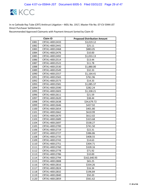

|      | <b>Claim ID</b> | <b>Proposed Distribution Amount</b> |
|------|-----------------|-------------------------------------|
| 1081 | CRTA1-40012433  | \$3,019.12                          |
| 1082 | CRTA1-40012441  | \$25.11                             |
| 1083 | CRTA1-40012468  | \$883.05                            |
| 1084 | CRTA1-40012476  | \$10.00                             |
| 1085 | CRTA1-40012492  | \$1,033.13                          |
| 1086 | CRTA1-40012514  | \$13.44                             |
| 1087 | CRTA1-40012522  | \$11.78                             |
| 1088 | CRTA1-40012530  | \$1,880.00                          |
| 1089 | CRTA1-40012549  | \$32.33                             |
| 1090 | CRTA1-40012557  | \$1,164.41                          |
| 1091 | CRTA1-40012565  | \$761.96                            |
| 1092 | CRTA1-40012573  | \$14.33                             |
| 1093 | CRTA1-40012581  | \$1,085.37                          |
| 1094 | CRTA1-40012590  | \$282.24                            |
| 1095 | CRTA1-40012603  | \$1,338.21                          |
| 1096 | CRTA1-40012611  | \$21.59                             |
| 1097 | CRTA1-40012620  | \$38.44                             |
| 1098 | CRTA1-40012638  | \$34,679.72                         |
| 1099 | CRTA1-40012646  | \$437.92                            |
| 1100 | CRTA1-40012654  | \$401.80                            |
| 1101 | CRTA1-40012662  | \$610.99                            |
| 1102 | CRTA1-40012670  | \$612.02                            |
| 1103 | CRTA1-40012689  | \$323.68                            |
| 1104 | CRTA1-40012697  | \$538.27                            |
| 1105 | CRTA1-40012700  | \$741.50                            |
| 1106 | CRTA1-40012719  | \$22.31                             |
| 1107 | CRTA1-40012727  | \$386.86                            |
| 1108 | CRTA1-40012735  | \$408.55                            |
| 1109 | CRTA1-40012743  | \$14.63                             |
| 1110 | CRTA1-40012751  | \$304.71                            |
| 1111 | CRTA1-40012760  | \$328.16                            |
| 1112 | CRTA1-40012778  | \$71.92                             |
| 1113 | CRTA1-40012786  | \$10.00                             |
| 1114 | CRTA1-40012794  | \$162,640.93                        |
| 1115 | CRTA1-40012808  | \$65.25                             |
| 1116 | CRTA1-40012816  | \$334.26                            |
| 1117 | CRTA1-40012824  | \$16.34                             |
| 1118 | CRTA1-40012832  | \$196.84                            |
| 1119 | CRTA1-40012840  | \$50.20                             |
| 1120 | CRTA1-40012859  | \$561.62                            |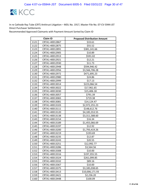

| <b>Claim ID</b> |                | <b>Proposed Distribution Amount</b> |
|-----------------|----------------|-------------------------------------|
| 1121            | CRTA1-40012867 | \$33.61                             |
| 1122            | CRTA1-40012875 | \$55.52                             |
| 1123            | CRTA1-40012891 | \$381,141.66                        |
| 1124            | CRTA1-40012905 | \$10.89                             |
| 1125            | CRTA1-40012913 | \$591.02                            |
| 1126            | CRTA1-40012921 | \$12.21                             |
| 1127            | CRTA1-40012930 | \$11.73                             |
| 1128            | CRTA1-40012948 | \$594,946.42                        |
| 1129            | CRTA1-40012956 | \$3,566,706.28                      |
| 1130            | CRTA1-40012972 | \$471,695.23                        |
| 1131            | CRTA1-40012980 | \$24.86                             |
| 1132            | CRTA1-40012999 | \$17.13                             |
| 1133            | CRTA1-40013014 | \$223,066.54                        |
| 1134            | CRTA1-40013022 | \$17,961.65                         |
| 1135            | CRTA1-40013030 | \$15,406.18                         |
| 1136            | CRTA1-40013057 | \$791.39                            |
| 1137            | CRTA1-40013065 | \$719.38                            |
| 1138            | CRTA1-40013081 | \$14,124.47                         |
| 1139            | CRTA1-40013103 | \$2,972,255.23                      |
| 1140            | CRTA1-40013111 | \$148,612.76                        |
| 1141            | CRTA1-40013120 | \$4,185,553.55                      |
| 1142            | CRTA1-40013138 | \$3,311,588.60                      |
| 1143            | CRTA1-40013154 | \$16.34                             |
| 1144            | CRTA1-40013189 | \$1,455,066.69                      |
| 1145            | CRTA1-40013197 | \$12.92                             |
| 1146            | CRTA1-40013200 | \$1,793,419.26                      |
| 1147            | CRTA1-40013219 | \$193.69                            |
| 1148            | CRTA1-40013235 | \$12.87                             |
| 1149            | CRTA1-40013243 | \$20.55                             |
| 1150            | CRTA1-40013251 | \$12,992.77                         |
| 1151            | CRTA1-40013286 | \$3,564.56                          |
| 1152            | CRTA1-40013308 | \$10.00                             |
| 1153            | CRTA1-40013316 | \$197,355.55                        |
| 1154            | CRTA1-40013324 | \$261,099.85                        |
| 1155            | CRTA1-40013332 | \$89.16                             |
| 1156            | CRTA1-40013367 | \$10.00                             |
| 1157            | CRTA1-40013375 | \$3,185,038.65                      |
| 1158            | CRTA1-40013413 | \$10,006,171.93                     |
| 1159            | CRTA1-40013421 | \$2,236.20                          |
| 1160            | CRTA1-40013448 | \$100.09                            |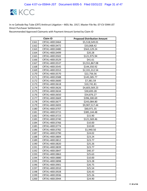

| <b>Claim ID</b> |                | <b>Proposed Distribution Amount</b> |
|-----------------|----------------|-------------------------------------|
| 1161            | CRTA1-40013464 | \$5,518,549.01                      |
| 1162            | CRTA1-40013472 | \$33,068.42                         |
| 1163            | CRTA1-40013480 | \$563,129.24                        |
| 1164            | CRTA1-40013499 | \$20.28                             |
| 1165            | CRTA1-40013502 | \$121,975.94                        |
| 1166            | CRTA1-40013529 | \$41.61                             |
| 1167            | CRTA1-40013537 | \$3,551,867.08                      |
| 1168            | CRTA1-40013545 | \$144,350.92                        |
| 1169            | CRTA1-40013553 | \$2,331,312.54                      |
| 1170            | CRTA1-40013570 | \$22,756.56                         |
| 1171            | CRTA1-40013588 | \$145,585.77                        |
| 1172            | CRTA1-40013600 | \$7,381.59                          |
| 1173            | CRTA1-40013618 | \$10,741.81                         |
| 1174            | CRTA1-40013626 | \$4,603,569.23                      |
| 1175            | CRTA1-40013634 | \$30,693.28                         |
| 1176            | CRTA1-40013650 | \$54,876.27                         |
| 1177            | CRTA1-40013669 | \$396,300.69                        |
| 1178            | CRTA1-40013677 | \$243,084.80                        |
| 1179            | CRTA1-40013693 | \$9,907,517.44                      |
| 1180            | CRTA1-40013707 | \$60,971.35                         |
| 1181            | CRTA1-40013715 | \$385,144.48                        |
| 1182            | CRTA1-40013723 | \$15.90                             |
| 1183            | CRTA1-40013740 | \$121,569.46                        |
| 1184            | CRTA1-40013766 | \$10.00                             |
| 1185            | CRTA1-40013774 | \$10.00                             |
| 1186            | CRTA1-40013782 | \$1,940.50                          |
| 1187            | CRTA1-40013790 | \$24.02                             |
| 1188            | CRTA1-40013804 | \$23.24                             |
| 1189            | CRTA1-40013812 | \$23.77                             |
| 1190            | CRTA1-40013820 | \$25.26                             |
| 1191            | CRTA1-40013839 | \$23.77                             |
| 1192            | CRTA1-40013847 | \$40.37                             |
| 1193            | CRTA1-40013863 | \$25.63                             |
| 1194            | CRTA1-40013880 | \$10.00                             |
| 1195            | CRTA1-40013898 | \$23.28                             |
| 1196            | CRTA1-40013901 | \$26.75                             |
| 1197            | CRTA1-40013910 | \$25.54                             |
| 1198            | CRTA1-40013928 | \$26.43                             |
| 1199            | CRTA1-40013936 | \$25.26                             |
| 1200            | CRTA1-40013944 | \$24.90                             |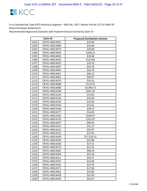

| <b>Claim ID</b> |                | <b>Proposed Distribution Amount</b> |
|-----------------|----------------|-------------------------------------|
| 1201            | CRTA1-40013952 | \$19.40                             |
| 1202            | CRTA1-40013960 | \$16.84                             |
| 1203            | CRTA1-40013979 | \$20.80                             |
| 1204            | CRTA1-40013995 | \$198.15                            |
| 1205            | CRTA1-40014002 | \$33.68                             |
| 1206            | CRTA1-40014010 | \$123.84                            |
| 1207            | CRTA1-40014029 | \$24.76                             |
| 1208            | CRTA1-40014037 | \$24.76                             |
| 1209            | CRTA1-40014045 | \$24.76                             |
| 1210            | CRTA1-40014053 | \$40.12                             |
| 1211            | CRTA1-40014061 | \$99.07                             |
| 1212            | CRTA1-40014070 | \$35.91                             |
| 1213            | CRTA1-40014088 | \$119.55                            |
| 1214            | CRTA1-40014096 | \$5,996.72                          |
| 1215            | CRTA1-40014100 | \$332.24                            |
| 1216            | CRTA1-40014126 | \$14.85                             |
| 1217            | CRTA1-40014134 | \$16.83                             |
| 1218            | CRTA1-40014142 | \$10.00                             |
| 1219            | CRTA1-40014150 | \$15.81                             |
| 1220            | CRTA1-40014169 | \$28.73                             |
| 1221            | CRTA1-40014177 | \$16.83                             |
| 1222            | CRTA1-40014185 | \$109.97                            |
| 1223            | CRTA1-40014193 | \$162.97                            |
| 1224            | CRTA1-40014207 | \$60.93                             |
| 1225            | CRTA1-40014215 | \$51.27                             |
| 1226            | CRTA1-40014223 | \$55.97                             |
| 1227            | CRTA1-40014231 | \$57.95                             |
| 1228            | CRTA1-40014240 | \$17,210.51                         |
| 1229            | CRTA1-40014258 | \$25.88                             |
| 1230            | CRTA1-40014266 | \$27.51                             |
| 1231            | CRTA1-40014274 | \$17.91                             |
| 1232            | CRTA1-40014282 | \$48.34                             |
| 1233            | CRTA1-40014304 | \$25.26                             |
| 1234            | CRTA1-40014312 | \$24.57                             |
| 1235            | CRTA1-40014347 | \$15.85                             |
| 1236            | CRTA1-40014355 | \$10.79                             |
| 1237            | CRTA1-40014371 | \$17.83                             |
| 1238            | CRTA1-40014401 | \$10.00                             |
| 1239            | CRTA1-40014428 | \$31.83                             |
| 1240            | CRTA1-40014436 | \$56.47                             |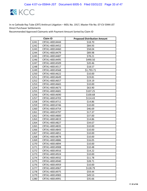

| <b>Claim ID</b> |                | <b>Proposed Distribution Amount</b> |
|-----------------|----------------|-------------------------------------|
| 1241            | CRTA1-40014444 | \$18.70                             |
| 1242            | CRTA1-40014452 | \$84.93                             |
| 1243            | CRTA1-40014460 | \$58.04                             |
| 1244            | CRTA1-40014479 | \$89.98                             |
| 1245            | CRTA1-40014487 | \$78.21                             |
| 1246            | CRTA1-40014495 | \$490.50                            |
| 1247            | CRTA1-40014509 | \$20.46                             |
| 1248            | CRTA1-40014517 | \$18.57                             |
| 1249            | CRTA1-40014568 | \$1,793.71                          |
| 1250            | CRTA1-40014622 | \$10.00                             |
| 1251            | CRTA1-40014649 | \$19.81                             |
| 1252            | CRTA1-40014657 | \$19.19                             |
| 1253            | CRTA1-40014665 | \$10.00                             |
| 1254            | CRTA1-40014673 | \$63.90                             |
| 1255            | CRTA1-40014681 | \$107.25                            |
| 1256            | CRTA1-40014690 | \$100.68                            |
| 1257            | CRTA1-40014703 | \$114.43                            |
| 1258            | CRTA1-40014711 | \$14.86                             |
| 1259            | CRTA1-40014746 | \$10.00                             |
| 1260            | CRTA1-40014754 | \$46.69                             |
| 1261            | CRTA1-40014797 | \$17.37                             |
| 1262            | CRTA1-40014800 | \$37.00                             |
| 1263            | CRTA1-40014819 | \$14.86                             |
| 1264            | CRTA1-40014827 | \$34.67                             |
| 1265            | CRTA1-40014835 | \$10.00                             |
| 1266            | CRTA1-40014843 | \$10.00                             |
| 1267            | CRTA1-40014851 | \$10.00                             |
| 1268            | CRTA1-40014878 | \$10.00                             |
| 1269            | CRTA1-40014886 | \$16.05                             |
| 1270            | CRTA1-40014894 | \$10.00                             |
| 1271            | CRTA1-40014908 | \$10.48                             |
| 1272            | CRTA1-40014916 | \$14.22                             |
| 1273            | CRTA1-40014924 | \$10.00                             |
| 1274            | CRTA1-40014932 | \$11.78                             |
| 1275            | CRTA1-40014940 | \$28.71                             |
| 1276            | CRTA1-40014959 | \$10.00                             |
| 1277            | CRTA1-40014967 | \$128.79                            |
| 1278            | CRTA1-40014975 | \$59.44                             |
| 1279            | CRTA1-40014983 | \$49.53                             |
| 1280            | CRTA1-40014991 | \$35.66                             |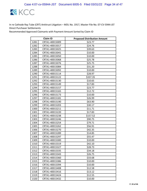

| <b>Claim ID</b> |                | <b>Proposed Distribution Amount</b> |
|-----------------|----------------|-------------------------------------|
| 1281            | CRTA1-40015009 | \$23.77                             |
| 1282            | CRTA1-40015017 | \$24.76                             |
| 1283            | CRTA1-40015025 | \$39.63                             |
| 1284            | CRTA1-40015041 | \$10.00                             |
| 1285            | CRTA1-40015050 | \$10.00                             |
| 1286            | CRTA1-40015068 | \$25.78                             |
| 1287            | CRTA1-40015076 | \$25.75                             |
| 1288            | CRTA1-40015084 | \$31.20                             |
| 1289            | CRTA1-40015092 | \$10.00                             |
| 1290            | CRTA1-40015114 | \$28.97                             |
| 1291            | CRTA1-40015122 | \$337.35                            |
| 1292            | CRTA1-40015130 | \$10.65                             |
| 1293            | CRTA1-40015149 | \$17.83                             |
| 1294            | CRTA1-40015157 | \$23.77                             |
| 1295            | CRTA1-40015165 | \$12.72                             |
| 1296            | CRTA1-40015173 | \$10.00                             |
| 1297            | CRTA1-40015181 | \$26.99                             |
| 1298            | CRTA1-40015190 | \$63.90                             |
| 1299            | CRTA1-40015203 | \$30.17                             |
| 1300            | CRTA1-40015211 | \$11.71                             |
| 1301            | CRTA1-40015220 | \$17.83                             |
| 1302            | CRTA1-40015238 | \$157.52                            |
| 1303            | CRTA1-40015246 | \$90.75                             |
| 1304            | CRTA1-40015254 | \$79.71                             |
| 1305            | CRTA1-40015262 | \$56.91                             |
| 1306            | CRTA1-40015270 | \$42.35                             |
| 1307            | CRTA1-40015289 | \$14.85                             |
| 1308            | CRTA1-40015297 | \$55.47                             |
| 1309            | CRTA1-40015300 | \$10.00                             |
| 1310            | CRTA1-40015319 | \$42.10                             |
| 1311            | CRTA1-40015327 | \$28.73                             |
| 1312            | CRTA1-40015335 | \$34.18                             |
| 1313            | CRTA1-40015343 | \$26.75                             |
| 1314            | CRTA1-40015360 | \$33.68                             |
| 1315            | CRTA1-40015386 | \$10.00                             |
| 1316            | CRTA1-40015394 | \$10.00                             |
| 1317            | CRTA1-40015408 | \$12.58                             |
| 1318            | CRTA1-40015416 | \$13.12                             |
| 1319            | CRTA1-40015424 | \$12.55                             |
| 1320            | CRTA1-40015432 | \$10.00                             |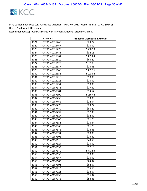

| <b>Claim ID</b> |                | <b>Proposed Distribution Amount</b> |
|-----------------|----------------|-------------------------------------|
| 1321            | CRTA1-40015440 | \$29.72                             |
| 1322            | CRTA1-40015467 | \$10.00                             |
| 1323            | CRTA1-40015475 | \$660.53                            |
| 1324            | CRTA1-40015483 | \$32.18                             |
| 1325            | CRTA1-40015564 | \$309.04                            |
| 1326            | CRTA1-40015610 | \$63.20                             |
| 1327            | CRTA1-40015629 | \$191.21                            |
| 1328            | CRTA1-40015637 | \$13.66                             |
| 1329            | CRTA1-40015645 | \$389.36                            |
| 1330            | CRTA1-40015653 | \$123.84                            |
| 1331            | CRTA1-40015718 | \$10.00                             |
| 1332            | CRTA1-40015726 | \$10.00                             |
| 1333            | CRTA1-40015734 | \$10.00                             |
| 1334            | CRTA1-40157373 | \$17.80                             |
| 1335            | CRTA1-40157381 | \$34.67                             |
| 1336            | CRTA1-40157390 | \$166.42                            |
| 1337            | CRTA1-40157438 | \$33.83                             |
| 1338            | CRTA1-40157462 | \$22.04                             |
| 1339            | CRTA1-40157470 | \$29.22                             |
| 1340            | CRTA1-40157489 | \$80.22                             |
| 1341            | CRTA1-40157497 | \$17.33                             |
| 1342            | CRTA1-40157527 | \$32.69                             |
| 1343            | CRTA1-40157543 | \$21.79                             |
| 1344            | CRTA1-40157551 | \$16.84                             |
| 1345            | CRTA1-40157560 | \$21.79                             |
| 1346            | CRTA1-40157578 | \$28.85                             |
| 1347            | CRTA1-40157594 | \$20.80                             |
| 1348            | CRTA1-40157608 | \$13.80                             |
| 1349            | CRTA1-40157616 | \$43.59                             |
| 1350            | CRTA1-40157624 | \$10.00                             |
| 1351            | CRTA1-40157632 | \$37.15                             |
| 1352            | CRTA1-40157640 | \$371.53                            |
| 1353            | CRTA1-40157659 | \$10.00                             |
| 1354            | CRTA1-40157667 | \$16.09                             |
| 1355            | CRTA1-40157683 | \$64.32                             |
| 1356            | CRTA1-40157691 | \$82.67                             |
| 1357            | CRTA1-40157713 | \$15.60                             |
| 1358            | CRTA1-40157721 | \$34.67                             |
| 1359            | CRTA1-40157730 | \$16.92                             |
| 1360            | CRTA1-40157748 | \$54.45                             |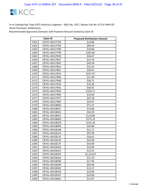

|      | <b>Claim ID</b> | <b>Proposed Distribution Amount</b> |
|------|-----------------|-------------------------------------|
| 1361 | CRTA1-40157756  | \$14.86                             |
| 1362 | CRTA1-40157764  | \$96.44                             |
| 1363 | CRTA1-40157780  | \$10.00                             |
| 1364 | CRTA1-40157799  | \$102.83                            |
| 1365 | CRTA1-40157829  | \$34.67                             |
| 1366 | CRTA1-40157837  | \$14.79                             |
| 1367 | CRTA1-40157845  | \$43.34                             |
| 1368 | CRTA1-40157853  | \$21.92                             |
| 1369 | CRTA1-40157861  | \$28.97                             |
| 1370 | CRTA1-40157870  | \$157.97                            |
| 1371 | CRTA1-40157896  | \$11.40                             |
| 1372 | CRTA1-40157900  | \$30.71                             |
| 1373 | CRTA1-40157934  | \$14.36                             |
| 1374 | CRTA1-40157942  | \$30.91                             |
| 1375 | CRTA1-40157950  | \$158.71                            |
| 1376 | CRTA1-40157969  | \$10.00                             |
| 1377 | CRTA1-40157977  | \$32.18                             |
| 1378 | CRTA1-40157985  | \$29.97                             |
| 1379 | CRTA1-40158000  | \$71.27                             |
| 1380 | CRTA1-40158027  | \$14.86                             |
| 1381 | CRTA1-40158035  | \$43.29                             |
| 1382 | CRTA1-40158051  | \$118.89                            |
| 1383 | CRTA1-40158060  | \$173.19                            |
| 1384 | CRTA1-40158078  | \$155.18                            |
| 1385 | CRTA1-40158094  | \$20.80                             |
| 1386 | CRTA1-40158108  | \$21.17                             |
| 1387 | CRTA1-40158124  | \$97.09                             |
| 1388 | CRTA1-40158132  | \$26.62                             |
| 1389 | CRTA1-40158159  | \$42.60                             |
| 1390 | CRTA1-40158175  | \$54.98                             |
| 1391 | CRTA1-40158183  | \$10.00                             |
| 1392 | CRTA1-40158191  | \$15.91                             |
| 1393 | CRTA1-40158205  | \$1,213.67                          |
| 1394 | CRTA1-40158264  | \$21.79                             |
| 1395 | CRTA1-40158280  | \$17.93                             |
| 1396 | CRTA1-40158299  | \$50.48                             |
| 1397 | CRTA1-40158302  | \$13.37                             |
| 1398 | CRTA1-40158329  | \$10.00                             |
| 1399 | CRTA1-40158337  | \$10.00                             |
| 1400 | CRTA1-40158361  | \$12.97                             |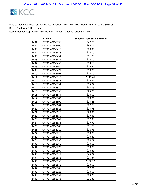

| <b>Claim ID</b> |                | <b>Proposed Distribution Amount</b> |
|-----------------|----------------|-------------------------------------|
| 1401            | CRTA1-40158396 | \$47.75                             |
| 1402            | CRTA1-40158400 | \$52.01                             |
| 1403            | CRTA1-40158418 | \$20.35                             |
| 1404            | CRTA1-40158426 | \$10.00                             |
| 1405            | CRTA1-40158434 | \$11.88                             |
| 1406            | CRTA1-40158442 | \$10.00                             |
| 1407            | CRTA1-40158450 | \$39.63                             |
| 1408            | CRTA1-40158469 | \$29.72                             |
| 1409            | CRTA1-40158477 | \$10.00                             |
| 1410            | CRTA1-40158493 | \$10.00                             |
| 1411            | CRTA1-40158515 | \$111.45                            |
| 1412            | CRTA1-40158523 | \$19.31                             |
| 1413            | CRTA1-40158531 | \$15.07                             |
| 1414            | CRTA1-40158540 | \$35.93                             |
| 1415            | CRTA1-40158558 | \$65.85                             |
| 1416            | CRTA1-40158574 | \$10.00                             |
| 1417            | CRTA1-40158582 | \$20.06                             |
| 1418            | CRTA1-40158590 | \$25.26                             |
| 1419            | CRTA1-40158604 | \$22.78                             |
| 1420            | CRTA1-40158612 | \$25.75                             |
| 1421            | CRTA1-40158620 | \$68.36                             |
| 1422            | CRTA1-40158639 | \$19.31                             |
| 1423            | CRTA1-40158647 | \$17.33                             |
| 1424            | CRTA1-40158655 | \$29.72                             |
| 1425            | CRTA1-40158680 | \$31.70                             |
| 1426            | CRTA1-40158710 | \$28.73                             |
| 1427            | CRTA1-40158728 | \$10.00                             |
| 1428            | CRTA1-40158744 | \$20.80                             |
| 1429            | CRTA1-40158752 | \$26.74                             |
| 1430            | CRTA1-40158760 | \$10.00                             |
| 1431            | CRTA1-40158779 | \$10.00                             |
| 1432            | CRTA1-40158809 | \$20.31                             |
| 1433            | CRTA1-40158817 | \$45.04                             |
| 1434            | CRTA1-40158833 | \$35.34                             |
| 1435            | CRTA1-40158850 | \$156.12                            |
| 1436            | CRTA1-40158876 | \$23.50                             |
| 1437            | CRTA1-40158906 | \$52.01                             |
| 1438            | CRTA1-40158922 | \$10.00                             |
| 1439            | CRTA1-40158957 | \$24.23                             |
| 1440            | CRTA1-40158973 | \$11.39                             |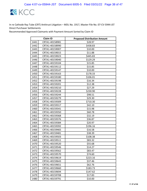

| <b>Claim ID</b> |                | <b>Proposed Distribution Amount</b> |
|-----------------|----------------|-------------------------------------|
| 1441            | CRTA1-40158981 | \$28.97                             |
| 1442            | CRTA1-40158990 | \$438.83                            |
| 1443            | CRTA1-40159007 | \$10.00                             |
| 1444            | CRTA1-40159015 | \$11.88                             |
| 1445            | CRTA1-40159023 | \$445.83                            |
| 1446            | CRTA1-40159040 | \$129.29                            |
| 1447            | CRTA1-40159104 | \$15.85                             |
| 1448            | CRTA1-40159112 | \$15.85                             |
| 1449            | CRTA1-40159147 | \$10.00                             |
| 1450            | CRTA1-40159163 | \$178.33                            |
| 1451            | CRTA1-40159180 | \$106.01                            |
| 1452            | CRTA1-40159198 | \$16.34                             |
| 1453            | CRTA1-40159201 | \$12.38                             |
| 1454            | CRTA1-40159210 | \$27.29                             |
| 1455            | CRTA1-40159228 | \$230.90                            |
| 1456            | CRTA1-40159244 | \$98.51                             |
| 1457            | CRTA1-40159279 | \$29.30                             |
| 1458            | CRTA1-40159309 | \$710.30                            |
| 1459            | CRTA1-40159317 | \$42.10                             |
| 1460            | CRTA1-40159341 | \$15.98                             |
| 1461            | CRTA1-40159350 | \$60.78                             |
| 1462            | CRTA1-40159368 | \$32.19                             |
| 1463            | CRTA1-40159376 | \$36.87                             |
| 1464            | CRTA1-40159384 | \$20.97                             |
| 1465            | CRTA1-40159392 | \$196.16                            |
| 1466            | CRTA1-40159465 | \$16.58                             |
| 1467            | CRTA1-40159481 | \$38.39                             |
| 1468            | CRTA1-40159503 | \$108.38                            |
| 1469            | CRTA1-40159511 | \$83.32                             |
| 1470            | CRTA1-40159520 | \$55.68                             |
| 1471            | CRTA1-40159546 | \$14.27                             |
| 1472            | CRTA1-40159562 | \$83.47                             |
| 1473            | CRTA1-40159570 | \$74.60                             |
| 1474            | CRTA1-40159619 | \$223.16                            |
| 1475            | CRTA1-40159643 | \$37.46                             |
| 1476            | CRTA1-40159651 | \$62.76                             |
| 1477            | CRTA1-40159660 | \$183.73                            |
| 1478            | CRTA1-40159694 | \$147.62                            |
| 1479            | CRTA1-40159708 | \$17.83                             |
| 1480            | CRTA1-40159791 | \$10.00                             |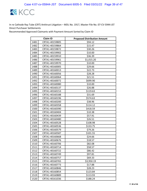

| <b>Claim ID</b> |                | <b>Proposed Distribution Amount</b> |
|-----------------|----------------|-------------------------------------|
| 1481            | CRTA1-40159805 | \$94.12                             |
| 1482            | CRTA1-40159864 | \$15.47                             |
| 1483            | CRTA1-40159872 | \$30.26                             |
| 1484            | CRTA1-40159902 | \$10.00                             |
| 1485            | CRTA1-40159910 | \$36.39                             |
| 1486            | CRTA1-40159961 | \$1,015.20                          |
| 1487            | CRTA1-40159970 | \$10.00                             |
| 1488            | CRTA1-40160005 | \$29.66                             |
| 1489            | CRTA1-40160013 | \$22.73                             |
| 1490            | CRTA1-40160056 | \$28.28                             |
| 1491            | CRTA1-40160064 | \$21.51                             |
| 1492            | CRTA1-40160072 | \$699.90                            |
| 1493            | CRTA1-40160080 | \$10.00                             |
| 1494            | CRTA1-40160137 | \$26.88                             |
| 1495            | CRTA1-40160153 | \$119.63                            |
| 1496            | CRTA1-40160188 | \$31.69                             |
| 1497            | CRTA1-40160196 | \$574.63                            |
| 1498            | CRTA1-40160200 | \$38.96                             |
| 1499            | CRTA1-40160358 | \$114.12                            |
| 1500            | CRTA1-40160390 | \$418.59                            |
| 1501            | CRTA1-40160404 | \$10.38                             |
| 1502            | CRTA1-40160439 | \$57.91                             |
| 1503            | CRTA1-40160480 | \$26.51                             |
| 1504            | CRTA1-40160528 | \$108.98                            |
| 1505            | CRTA1-40160536 | \$133.75                            |
| 1506            | CRTA1-40160579 | \$79.26                             |
| 1507            | CRTA1-40160587 | \$101.55                            |
| 1508            | CRTA1-40160668 | \$24.66                             |
| 1509            | CRTA1-40160676 | \$18.57                             |
| 1510            | CRTA1-40160706 | \$82.08                             |
| 1511            | CRTA1-40160714 | \$58.57                             |
| 1512            | CRTA1-40160722 | \$86.42                             |
| 1513            | CRTA1-40160749 | \$97.81                             |
| 1514            | CRTA1-40160757 | \$69.33                             |
| 1515            | CRTA1-40160765 | \$3,950.19                          |
| 1516            | CRTA1-40160773 | \$17.88                             |
| 1517            | CRTA1-40160846 | \$28.23                             |
| 1518            | CRTA1-40160854 | \$123.84                            |
| 1519            | CRTA1-40160889 | \$113.93                            |
| 1520            | CRTA1-40161036 | \$188.24                            |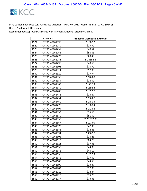

| <b>Claim ID</b> |                | <b>Proposed Distribution Amount</b> |
|-----------------|----------------|-------------------------------------|
| 1521            | CRTA1-40161095 | \$158.52                            |
| 1522            | CRTA1-40161249 | \$29.72                             |
| 1523            | CRTA1-40161257 | \$48.54                             |
| 1524            | CRTA1-40161265 | \$50.03                             |
| 1525            | CRTA1-40161273 | \$60.43                             |
| 1526            | CRTA1-40161281 | \$1,415.58                          |
| 1527            | CRTA1-40161290 | \$40.65                             |
| 1528            | CRTA1-40161303 | \$75.79                             |
| 1529            | CRTA1-40161311 | \$97.09                             |
| 1530            | CRTA1-40161320 | \$27.74                             |
| 1531            | CRTA1-40161338 | \$226.88                            |
| 1532            | CRTA1-40161354 | \$26.50                             |
| 1533            | CRTA1-40161362 | \$173.19                            |
| 1534            | CRTA1-40161370 | \$139.94                            |
| 1535            | CRTA1-40161400 | \$109.97                            |
| 1536            | CRTA1-40161443 | \$13.87                             |
| 1537            | CRTA1-40161451 | \$206.07                            |
| 1538            | CRTA1-40161460 | \$178.33                            |
| 1539            | CRTA1-40161478 | \$188.24                            |
| 1540            | CRTA1-40161494 | \$172.88                            |
| 1541            | CRTA1-40161532 | \$35.66                             |
| 1542            | CRTA1-40161540 | \$51.50                             |
| 1543            | CRTA1-40161559 | \$176,572.09                        |
| 1544            | CRTA1-40161567 | \$107.00                            |
| 1545            | CRTA1-40161575 | \$47.30                             |
| 1546            | CRTA1-40161583 | \$14.86                             |
| 1547            | CRTA1-40161591 | \$366.57                            |
| 1548            | CRTA1-40161605 | \$20.21                             |
| 1549            | CRTA1-40161613 | \$84.70                             |
| 1550            | CRTA1-40161621 | \$37.35                             |
| 1551            | CRTA1-40161630 | \$44.08                             |
| 1552            | CRTA1-40161648 | \$40.12                             |
| 1553            | CRTA1-40161656 | \$135.99                            |
| 1554            | CRTA1-40161672 | \$29.02                             |
| 1555            | CRTA1-40161680 | \$44.58                             |
| 1556            | CRTA1-40161699 | \$13.87                             |
| 1557            | CRTA1-40161702 | \$17.83                             |
| 1558            | CRTA1-40161710 | \$14.84                             |
| 1559            | CRTA1-40161729 | \$75.78                             |
| 1560            | CRTA1-40161737 | \$73.31                             |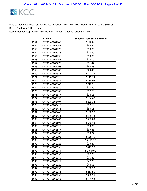

| <b>Claim ID</b> |                | <b>Proposed Distribution Amount</b> |
|-----------------|----------------|-------------------------------------|
| 1561            | CRTA1-40161745 | \$126.81                            |
| 1562            | CRTA1-40161761 | \$82.72                             |
| 1563            | CRTA1-40161770 | \$10.00                             |
| 1564            | CRTA1-40161788 | \$13.59                             |
| 1565            | CRTA1-40161796 | \$10.00                             |
| 1566            | CRTA1-40162261 | \$10.00                             |
| 1567            | CRTA1-40162270 | \$31.44                             |
| 1568            | CRTA1-40162296 | \$60.88                             |
| 1569            | CRTA1-40162300 | \$63.40                             |
| 1570            | CRTA1-40162318 | \$141.18                            |
| 1571            | CRTA1-40162326 | \$145.14                            |
| 1572            | CRTA1-40162334 | \$158.02                            |
| 1573            | CRTA1-40162342 | \$212.51                            |
| 1574            | CRTA1-40162350 | \$23.80                             |
| 1575            | CRTA1-40162369 | \$12.79                             |
| 1576            | CRTA1-40162377 | \$14.13                             |
| 1577            | CRTA1-40162393 | \$194.68                            |
| 1578            | CRTA1-40162407 | \$223.34                            |
| 1579            | CRTA1-40162415 | \$17.68                             |
| 1580            | CRTA1-40162431 | \$90.15                             |
| 1581            | CRTA1-40162440 | \$130.28                            |
| 1582            | CRTA1-40162458 | \$346.76                            |
| 1583            | CRTA1-40162482 | \$602.89                            |
| 1584            | CRTA1-40162504 | \$173.48                            |
| 1585            | CRTA1-40162520 | \$10.00                             |
| 1586            | CRTA1-40162547 | \$39.63                             |
| 1587            | CRTA1-40162563 | \$10.24                             |
| 1588            | CRTA1-40162598 | \$668.75                            |
| 1589            | CRTA1-40162610 | \$5,121.77                          |
| 1590            | CRTA1-40162628 | \$13.87                             |
| 1591            | CRTA1-40162636 | \$413.20                            |
| 1592            | CRTA1-40162644 | \$1,070.01                          |
| 1593            | CRTA1-40162652 | \$22.29                             |
| 1594            | CRTA1-40162679 | \$76.86                             |
| 1595            | CRTA1-40162717 | \$42.28                             |
| 1596            | CRTA1-40162725 | \$44.58                             |
| 1597            | CRTA1-40162733 | \$158.52                            |
| 1598            | CRTA1-40162741 | \$217.96                            |
| 1599            | CRTA1-40162750 | \$388.95                            |
| 1600            | CRTA1-40162768 | \$574.63                            |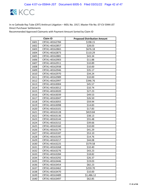

| <b>Claim ID</b> |                | <b>Proposed Distribution Amount</b> |
|-----------------|----------------|-------------------------------------|
| 1601            | CRTA1-40162784 | \$198.15                            |
| 1602            | CRTA1-40162857 | \$28.03                             |
| 1603            | CRTA1-40162865 | \$676.18                            |
| 1604            | CRTA1-40162873 | \$110.29                            |
| 1605            | CRTA1-40162881 | \$43.34                             |
| 1606            | CRTA1-40162903 | \$11.88                             |
| 1607            | CRTA1-40162911 | \$10.89                             |
| 1608            | CRTA1-40162938 | \$10.00                             |
| 1609            | CRTA1-40162946 | \$35.17                             |
| 1610            | CRTA1-40162970 | \$34.24                             |
| 1611            | CRTA1-40162989 | \$10.00                             |
| 1612            | CRTA1-40162997 | \$346.76                            |
| 1613            | CRTA1-40163004 | \$45.57                             |
| 1614            | CRTA1-40163012 | \$10.74                             |
| 1615            | CRTA1-40163020 | \$27.23                             |
| 1616            | CRTA1-40163039 | \$49.53                             |
| 1617            | CRTA1-40163047 | \$26.50                             |
| 1618            | CRTA1-40163055 | \$59.94                             |
| 1619            | CRTA1-40163098 | \$14.83                             |
| 1620            | CRTA1-40163101 | \$17.83                             |
| 1621            | CRTA1-40163128 | \$819.84                            |
| 1622            | CRTA1-40163136 | \$38.13                             |
| 1623            | CRTA1-40163144 | \$55.48                             |
| 1624            | CRTA1-40163152 | \$39.66                             |
| 1625            | CRTA1-40163160 | \$10.00                             |
| 1626            | CRTA1-40163179 | \$41.29                             |
| 1627            | CRTA1-40163187 | \$53.10                             |
| 1628            | CRTA1-40163195 | \$14.76                             |
| 1629            | CRTA1-40163217 | \$44.08                             |
| 1630            | CRTA1-40163225 | \$579.58                            |
| 1631            | CRTA1-40163268 | \$10.40                             |
| 1632            | CRTA1-40163276 | \$43.23                             |
| 1633            | CRTA1-40163284 | \$18.82                             |
| 1634            | CRTA1-40163292 | \$26.37                             |
| 1635            | CRTA1-40163446 | \$19.03                             |
| 1636            | CRTA1-40163454 | \$82.23                             |
| 1637            | CRTA1-40163462 | \$259.70                            |
| 1638            | CRTA1-40163470 | \$10.00                             |
| 1639            | CRTA1-40163489 | \$1,486.12                          |
| 1640            | CRTA1-40163497 | \$62.85                             |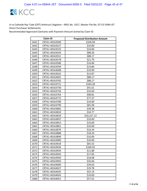

|      | Claim ID       | <b>Proposed Distribution Amount</b> |
|------|----------------|-------------------------------------|
| 1641 | CRTA1-40163500 | \$326.94                            |
| 1642 | CRTA1-40163527 | \$10.00                             |
| 1643 | CRTA1-40163535 | \$16.84                             |
| 1644 | CRTA1-40163543 | \$88.26                             |
| 1645 | CRTA1-40163551 | \$88.17                             |
| 1646 | CRTA1-40163578 | \$21.79                             |
| 1647 | CRTA1-40163586 | \$16.84                             |
| 1648 | CRTA1-40163594 | \$14.86                             |
| 1649 | CRTA1-40163608 | \$10.00                             |
| 1650 | CRTA1-40163632 | \$13.87                             |
| 1651 | CRTA1-40163691 | \$88.17                             |
| 1652 | CRTA1-40163705 | \$88.17                             |
| 1653 | CRTA1-40163721 | \$183.28                            |
| 1654 | CRTA1-40163730 | \$41.61                             |
| 1655 | CRTA1-40163756 | \$33.64                             |
| 1656 | CRTA1-40163764 | \$98.81                             |
| 1657 | CRTA1-40163772 | \$77.37                             |
| 1658 | CRTA1-40163780 | \$10.00                             |
| 1659 | CRTA1-40163799 | \$81.09                             |
| 1660 | CRTA1-40163802 | \$39.38                             |
| 1661 | CRTA1-40163810 | \$34.77                             |
| 1662 | CRTA1-40163829 | \$10,227.12                         |
| 1663 | CRTA1-40163837 | \$10.00                             |
| 1664 | CRTA1-40163853 | \$10.00                             |
| 1665 | CRTA1-40163861 | \$10.00                             |
| 1666 | CRTA1-40163870 | \$16.34                             |
| 1667 | CRTA1-40163888 | \$18.20                             |
| 1668 | CRTA1-40163896 | \$10.00                             |
| 1669 | CRTA1-40163900 | \$10.00                             |
| 1670 | CRTA1-40163918 | \$65.42                             |
| 1671 | CRTA1-40163926 | \$166.92                            |
| 1672 | CRTA1-40163934 | \$11.88                             |
| 1673 | CRTA1-40163942 | \$17.83                             |
| 1674 | CRTA1-40163950 | \$18.08                             |
| 1675 | CRTA1-40163993 | \$35.66                             |
| 1676 | CRTA1-40164000 | \$39.63                             |
| 1677 | CRTA1-40164027 | \$19.78                             |
| 1678 | CRTA1-40164035 | \$55.19                             |
| 1679 | CRTA1-40164043 | \$10.00                             |
| 1680 | CRTA1-40164051 | \$57.01                             |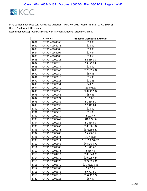

| <b>Claim ID</b> |                | <b>Proposed Distribution Amount</b> |
|-----------------|----------------|-------------------------------------|
| 1681            | CRTA1-40164060 | \$10.00                             |
| 1682            | CRTA1-40164078 | \$10.00                             |
| 1683            | CRTA1-40164086 | \$10.00                             |
| 1684            | CRTA1-40164094 | \$27.64                             |
| 1685            | CRTA1-40164108 | \$33.68                             |
| 1686            | CRTA1-70000018 | \$2,256.30                          |
| 1687            | CRTA1-70000026 | \$3,175.24                          |
| 1688            | CRTA1-70000034 | \$10.00                             |
| 1689            | CRTA1-70000042 | \$323,695.34                        |
| 1690            | CRTA1-70000050 | \$97.58                             |
| 1691            | CRTA1-70000115 | \$36.90                             |
| 1692            | CRTA1-70000123 | \$11.88                             |
| 1693            | CRTA1-70000131 | \$49.28                             |
| 1694            | CRTA1-70000140 | \$33,076.13                         |
| 1695            | CRTA1-70000158 | \$202,432.97                        |
| 1696            | CRTA1-70000166 | \$57.83                             |
| 1697            | CRTA1-70000174 | \$1,208.71                          |
| 1698            | CRTA1-70000182 | \$1,254.51                          |
| 1699            | CRTA1-70000190 | \$2,311.84                          |
| 1700            | CRTA1-70000204 | \$10.00                             |
| 1701            | CRTA1-70000220 | \$11.88                             |
| 1702            | CRTA1-70000239 | \$101.47                            |
| 1703            | CRTA1-70000247 | \$18,222.80                         |
| 1704            | CRTA1-70000255 | \$1,454.80                          |
| 1705            | CRTA1-70000263 | \$309,901.97                        |
| 1706            | CRTA1-70000271 | \$978,898.47                        |
| 1707            | CRTA1-70000280 | \$5,536.15                          |
| 1708            | CRTA1-70000581 | \$77,401.88                         |
| 1709            | CRTA1-70000611 | \$10,050,220.70                     |
| 1710            | CRTA1-70000662 | \$467,435.79                        |
| 1711            | CRTA1-70001588 | \$1,641.67                          |
| 1712            | CRTA1-70001731 | \$466.46                            |
| 1713            | CRTA1-70004722 | \$180,349.00                        |
| 1714            | CRTA1-70004730 | \$107,957.24                        |
| 1715            | CRTA1-70004978 | \$227,325.31                        |
| 1716            | CRTA1-70005370 | \$1,733,815.55                      |
| 1717            | CRTA1-70005389 | \$685.55                            |
| 1718            | CRTA1-70005648 | \$9,907.51                          |
| 1719            | CRTA1-70005915 | \$357,137.27                        |
| 1720            | CRTA1-70005923 | \$87.07                             |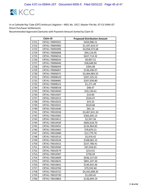

|      | <b>Claim ID</b> | <b>Proposed Distribution Amount</b> |
|------|-----------------|-------------------------------------|
| 1721 | CRTA1-70005931  | \$450,986.51                        |
| 1722 | CRTA1-70005982  | \$1,597,633.57                      |
| 1723 | CRTA1-70005990  | \$4,058,375.68                      |
| 1724 | CRTA1-70006008  | \$64,114.05                         |
| 1725 | CRTA1-70006016  | \$637,714.32                        |
| 1726 | CRTA1-70006024  | \$9,907.51                          |
| 1727 | CRTA1-70006040  | \$58,648.94                         |
| 1728 | CRTA1-70006059  | \$395.08                            |
| 1729 | CRTA1-70006067  | \$136,596.97                        |
| 1730 | CRTA1-70006075  | \$3,464,983.55                      |
| 1731 | CRTA1-70008329  | \$297,225.52                        |
| 1732 | CRTA1-70008485  | \$207,939.80                        |
| 1733 | CRTA1-70008523  | \$1,271.49                          |
| 1734 | CRTA1-70008558  | \$48.47                             |
| 1735 | CRTA1-70010030  | \$10,139.61                         |
| 1736 | CRTA1-70010307  | \$10.00                             |
| 1737 | CRTA1-70010315  | \$534.47                            |
| 1738 | CRTA1-70010323  | \$33.23                             |
| 1739 | CRTA1-70010331  | \$618.68                            |
| 1740 | CRTA1-70010340  | \$81.14                             |
| 1741 | CRTA1-70010358  | \$3,467,631.10                      |
| 1742 | CRTA1-70010382  | \$365,645.13                        |
| 1743 | CRTA1-70010412  | \$2,507.36                          |
| 1744 | CRTA1-70010439  | \$683,618.70                        |
| 1745 | CRTA1-70010455  | \$134,964.82                        |
| 1746 | CRTA1-70010463  | \$78,870.21                         |
| 1747 | CRTA1-70010480  | \$12,779.76                         |
| 1748 | CRTA1-70010510  | \$5,976.42                          |
| 1749 | CRTA1-70010528  | \$108,062.15                        |
| 1750 | CRTA1-70010552  | \$237,780.41                        |
| 1751 | CRTA1-70010560  | \$47,656.81                         |
| 1752 | CRTA1-70010579  | \$214.01                            |
| 1753 | CRTA1-70010587  | \$758.39                            |
| 1754 | CRTA1-70010609  | \$636,157.03                        |
| 1755 | CRTA1-70010625  | \$891,247.30                        |
| 1756 | CRTA1-70010641  | \$149,455.46                        |
| 1757 | CRTA1-70010706  | \$79,592.84                         |
| 1758 | CRTA1-70010722  | \$4,342,698.35                      |
| 1759 | CRTA1-70010730  | \$1,030.45                          |
| 1760 | CRTA1-70010803  | \$136,694.19                        |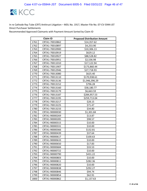

|      | <b>Claim ID</b> | <b>Proposed Distribution Amount</b> |
|------|-----------------|-------------------------------------|
| 1761 | CRTA1-70010862  | \$14,357.62                         |
| 1762 | CRTA1-70010897  | \$4,253.90                          |
| 1763 | CRTA1-70010900  | \$10,306.13                         |
| 1764 | CRTA1-70010919  | \$629.12                            |
| 1765 | CRTA1-70010927  | \$88,528.82                         |
| 1766 | CRTA1-70010951  | \$2,536.98                          |
| 1767 | CRTA1-70011010  | \$17,122.94                         |
| 1768 | CRTA1-70011907  | \$173,860.44                        |
| 1769 | CRTA1-70012946  | \$27,718.93                         |
| 1770 | CRTA1-70013080  | \$625.40                            |
| 1771 | CRTA1-70013110  | \$170,938.61                        |
| 1772 | CRTA1-70013136  | \$1,946,396.29                      |
| 1773 | CRTA1-70013152  | \$796.28                            |
| 1774 | CRTA1-70013160  | \$58,180.77                         |
| 1775 | CRTA1-70013179  | \$6,663.59                          |
| 1776 | CRTA1-70013187  | \$284,957.53                        |
| 1777 | CRTA1-70013195  | \$259,713.04                        |
| 1778 | CRTA1-70013217  | \$28.15                             |
| 1779 | CRTA1-70013225  | \$71.47                             |
| 1780 | CRTA1-70013233  | \$34.80                             |
| 1781 | CRTA1-90000030  | \$1,301.84                          |
| 1782 | CRTA1-90000269  | \$13.87                             |
| 1783 | CRTA1-90000285  | \$98.57                             |
| 1784 | CRTA1-90000315  | \$10.00                             |
| 1785 | CRTA1-90000331  | \$10.00                             |
| 1786 | CRTA1-90000366  | \$132.81                            |
| 1787 | CRTA1-90000439  | \$37.64                             |
| 1788 | CRTA1-90000617  | \$100.63                            |
| 1789 | CRTA1-90000633  | \$10.00                             |
| 1790 | CRTA1-90000650  | \$17.83                             |
| 1791 | CRTA1-90000684  | \$33.53                             |
| 1792 | CRTA1-90000722  | \$10.00                             |
| 1793 | CRTA1-90000790  | \$431.22                            |
| 1794 | CRTA1-90000803  | \$10.00                             |
| 1795 | CRTA1-90000811  | \$282.36                            |
| 1796 | CRTA1-90000820  | \$10.00                             |
| 1797 | CRTA1-90000838  | \$292.27                            |
| 1798 | CRTA1-90000846  | \$94.74                             |
| 1799 | CRTA1-90000854  | \$62.91                             |
| 1800 | CRTA1-90000862  | \$1,137.63                          |